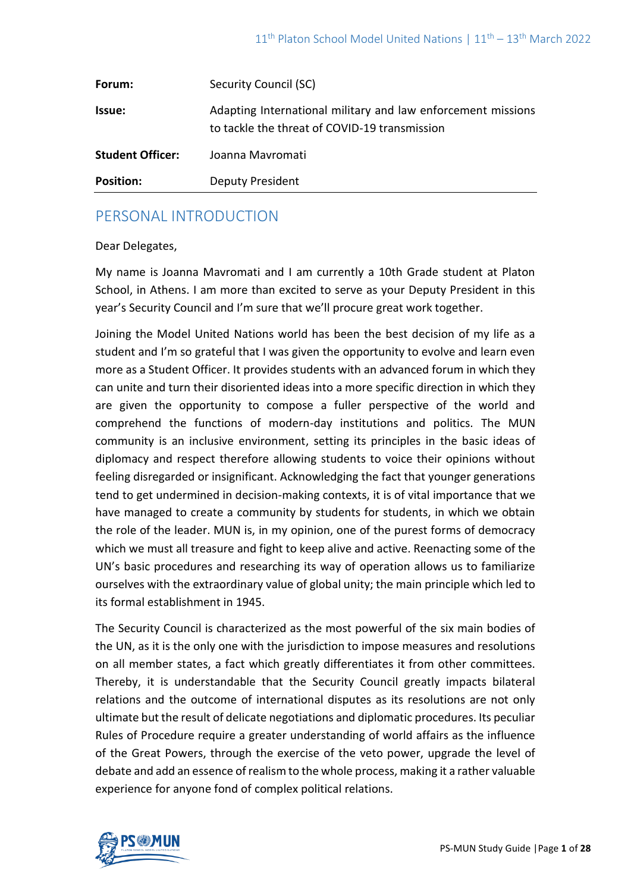| Forum:                  | Security Council (SC)                                                                                         |
|-------------------------|---------------------------------------------------------------------------------------------------------------|
| Issue:                  | Adapting International military and law enforcement missions<br>to tackle the threat of COVID-19 transmission |
| <b>Student Officer:</b> | Joanna Mavromati                                                                                              |
| <b>Position:</b>        | <b>Deputy President</b>                                                                                       |

# PERSONAL INTRODUCTION

#### Dear Delegates,

My name is Joanna Mavromati and I am currently a 10th Grade student at Platon School, in Athens. I am more than excited to serve as your Deputy President in this year's Security Council and I'm sure that we'll procure great work together.

Joining the Model United Nations world has been the best decision of my life as a student and I'm so grateful that I was given the opportunity to evolve and learn even more as a Student Officer. It provides students with an advanced forum in which they can unite and turn their disoriented ideas into a more specific direction in which they are given the opportunity to compose a fuller perspective of the world and comprehend the functions of modern-day institutions and politics. The MUN community is an inclusive environment, setting its principles in the basic ideas of diplomacy and respect therefore allowing students to voice their opinions without feeling disregarded or insignificant. Acknowledging the fact that younger generations tend to get undermined in decision-making contexts, it is of vital importance that we have managed to create a community by students for students, in which we obtain the role of the leader. MUN is, in my opinion, one of the purest forms of democracy which we must all treasure and fight to keep alive and active. Reenacting some of the UN's basic procedures and researching its way of operation allows us to familiarize ourselves with the extraordinary value of global unity; the main principle which led to its formal establishment in 1945.

The Security Council is characterized as the most powerful of the six main bodies of the UN, as it is the only one with the jurisdiction to impose measures and resolutions on all member states, a fact which greatly differentiates it from other committees. Thereby, it is understandable that the Security Council greatly impacts bilateral relations and the outcome of international disputes as its resolutions are not only ultimate but the result of delicate negotiations and diplomatic procedures. Its peculiar Rules of Procedure require a greater understanding of world affairs as the influence of the Great Powers, through the exercise of the veto power, upgrade the level of debate and add an essence of realism to the whole process, making it a rather valuable experience for anyone fond of complex political relations.

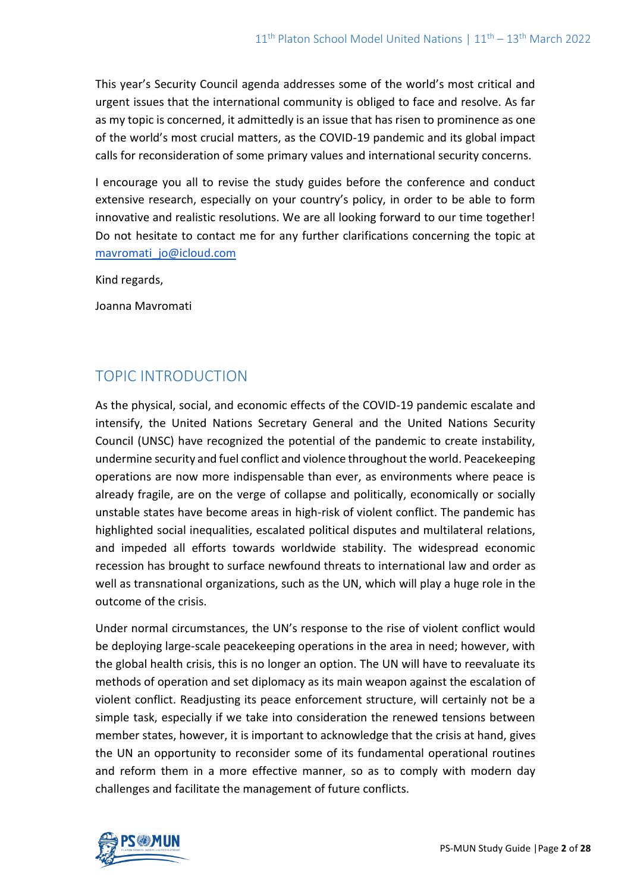This year's Security Council agenda addresses some of the world's most critical and urgent issues that the international community is obliged to face and resolve. As far as my topic is concerned, it admittedly is an issue that has risen to prominence as one of the world's most crucial matters, as the COVID-19 pandemic and its global impact calls for reconsideration of some primary values and international security concerns.

I encourage you all to revise the study guides before the conference and conduct extensive research, especially on your country's policy, in order to be able to form innovative and realistic resolutions. We are all looking forward to our time together! Do not hesitate to contact me for any further clarifications concerning the topic at [mavromati\\_jo@icloud.com](mailto:mavromati_jo@icloud.com)

Kind regards,

Joanna Mavromati

# TOPIC INTRODUCTION

As the physical, social, and economic effects of the COVID-19 pandemic escalate and intensify, the United Nations Secretary General and the United Nations Security Council (UNSC) have recognized the potential of the pandemic to create instability, undermine security and fuel conflict and violence throughout the world. Peacekeeping operations are now more indispensable than ever, as environments where peace is already fragile, are on the verge of collapse and politically, economically or socially unstable states have become areas in high-risk of violent conflict. The pandemic has highlighted social inequalities, escalated political disputes and multilateral relations, and impeded all efforts towards worldwide stability. The widespread economic recession has brought to surface newfound threats to international law and order as well as transnational organizations, such as the UN, which will play a huge role in the outcome of the crisis.

Under normal circumstances, the UN's response to the rise of violent conflict would be deploying large-scale peacekeeping operations in the area in need; however, with the global health crisis, this is no longer an option. The UN will have to reevaluate its methods of operation and set diplomacy as its main weapon against the escalation of violent conflict. Readjusting its peace enforcement structure, will certainly not be a simple task, especially if we take into consideration the renewed tensions between member states, however, it is important to acknowledge that the crisis at hand, gives the UN an opportunity to reconsider some of its fundamental operational routines and reform them in a more effective manner, so as to comply with modern day challenges and facilitate the management of future conflicts.

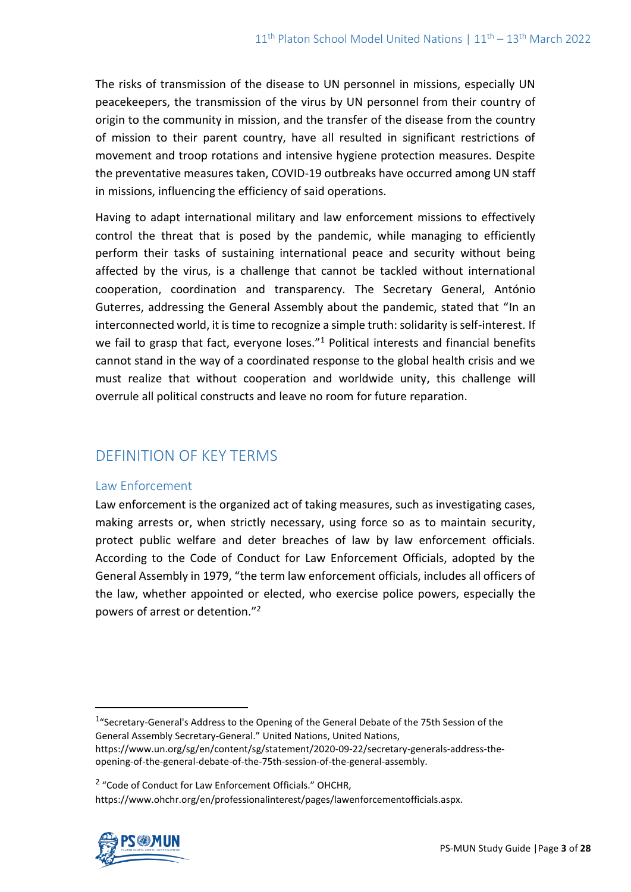The risks of transmission of the disease to UN personnel in missions, especially UN peacekeepers, the transmission of the virus by UN personnel from their country of origin to the community in mission, and the transfer of the disease from the country of mission to their parent country, have all resulted in significant restrictions of movement and troop rotations and intensive hygiene protection measures. Despite the preventative measures taken, COVID-19 outbreaks have occurred among UN staff in missions, influencing the efficiency of said operations.

Having to adapt international military and law enforcement missions to effectively control the threat that is posed by the pandemic, while managing to efficiently perform their tasks of sustaining international peace and security without being affected by the virus, is a challenge that cannot be tackled without international cooperation, coordination and transparency. The Secretary General, António Guterres, addressing the General Assembly about the pandemic, stated that "In an interconnected world, it is time to recognize a simple truth: solidarity is self-interest. If we fail to grasp that fact, everyone loses."<sup>1</sup> Political interests and financial benefits cannot stand in the way of a coordinated response to the global health crisis and we must realize that without cooperation and worldwide unity, this challenge will overrule all political constructs and leave no room for future reparation.

# DEFINITION OF KEY TERMS

# Law Enforcement

Law enforcement is the organized act of taking measures, such as investigating cases, making arrests or, when strictly necessary, using force so as to maintain security, protect public welfare and deter breaches of law by law enforcement officials. According to the Code of Conduct for Law Enforcement Officials, adopted by the General Assembly in 1979, "the term law enforcement officials, includes all officers of the law, whether appointed or elected, who exercise police powers, especially the powers of arrest or detention."<sup>2</sup>

https://www.ohchr.org/en/professionalinterest/pages/lawenforcementofficials.aspx.



<sup>&</sup>lt;sup>1</sup>"Secretary-General's Address to the Opening of the General Debate of the 75th Session of the General Assembly Secretary-General." United Nations, United Nations, https://www.un.org/sg/en/content/sg/statement/2020-09-22/secretary-generals-address-the-

opening-of-the-general-debate-of-the-75th-session-of-the-general-assembly.

<sup>&</sup>lt;sup>2</sup> "Code of Conduct for Law Enforcement Officials." OHCHR,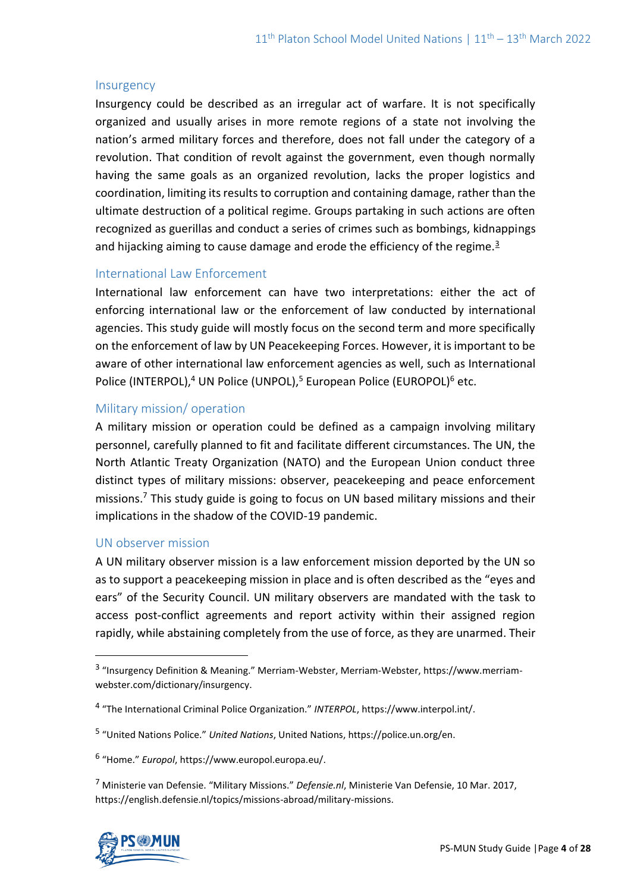#### **Insurgency**

Insurgency could be described as an irregular act of warfare. It is not specifically organized and usually arises in more remote regions of a state not involving the nation's armed military forces and therefore, does not fall under the category of a revolution. That condition of revolt against the government, even though normally having the same goals as an organized revolution, lacks the proper logistics and coordination, limiting its results to corruption and containing damage, rather than the ultimate destruction of a political regime. Groups partaking in such actions are often recognized as guerillas and conduct a series of crimes such as bombings, kidnappings and hijacking aiming to cause damage and erode the efficiency of the regime.<sup>3</sup>

# International Law Enforcement

International law enforcement can have two interpretations: either the act of enforcing international law or the enforcement of law conducted by international agencies. This study guide will mostly focus on the second term and more specifically on the enforcement of law by UN Peacekeeping Forces. However, it is important to be aware of other international law enforcement agencies as well, such as International Police (INTERPOL),<sup>4</sup> UN Police (UNPOL),<sup>5</sup> European Police (EUROPOL)<sup>6</sup> etc.

### Military mission/ operation

A military mission or operation could be defined as a campaign involving military personnel, carefully planned to fit and facilitate different circumstances. The UN, the North Atlantic Treaty Organization (NATO) and the European Union conduct three distinct types of military missions: observer, peacekeeping and peace enforcement missions.<sup>7</sup> This study guide is going to focus on UN based military missions and their implications in the shadow of the COVID-19 pandemic.

#### UN observer mission

A UN military observer mission is a law enforcement mission deported by the UN so as to support a peacekeeping mission in place and is often described as the "eyes and ears" of the Security Council. UN military observers are mandated with the task to access post-conflict agreements and report activity within their assigned region rapidly, while abstaining completely from the use of force, as they are unarmed. Their

<sup>7</sup> Ministerie van Defensie. "Military Missions." *Defensie.nl*, Ministerie Van Defensie, 10 Mar. 2017, https://english.defensie.nl/topics/missions-abroad/military-missions.



<sup>&</sup>lt;sup>3</sup> "Insurgency Definition & Meaning." Merriam-Webster, Merriam-Webster, https://www.merriamwebster.com/dictionary/insurgency.

<sup>4</sup> "The International Criminal Police Organization." *INTERPOL*, https://www.interpol.int/.

<sup>5</sup> "United Nations Police." *United Nations*, United Nations, https://police.un.org/en.

<sup>6</sup> "Home." *Europol*, https://www.europol.europa.eu/.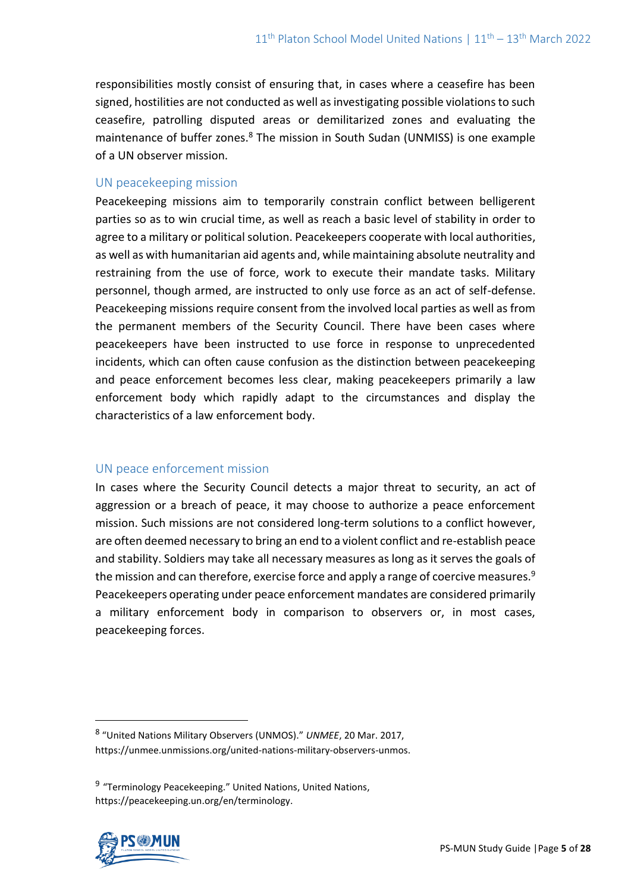responsibilities mostly consist of ensuring that, in cases where a ceasefire has been signed, hostilities are not conducted as well as investigating possible violations to such ceasefire, patrolling disputed areas or demilitarized zones and evaluating the maintenance of buffer zones.<sup>8</sup> The mission in South Sudan (UNMISS) is one example of a UN observer mission.

# UN peacekeeping mission

Peacekeeping missions aim to temporarily constrain conflict between belligerent parties so as to win crucial time, as well as reach a basic level of stability in order to agree to a military or political solution. Peacekeepers cooperate with local authorities, as well as with humanitarian aid agents and, while maintaining absolute neutrality and restraining from the use of force, work to execute their mandate tasks. Military personnel, though armed, are instructed to only use force as an act of self-defense. Peacekeeping missions require consent from the involved local parties as well as from the permanent members of the Security Council. There have been cases where peacekeepers have been instructed to use force in response to unprecedented incidents, which can often cause confusion as the distinction between peacekeeping and peace enforcement becomes less clear, making peacekeepers primarily a law enforcement body which rapidly adapt to the circumstances and display the characteristics of a law enforcement body.

# UN peace enforcement mission

In cases where the Security Council detects a major threat to security, an act of aggression or a breach of peace, it may choose to authorize a peace enforcement mission. Such missions are not considered long-term solutions to a conflict however, are often deemed necessary to bring an end to a violent conflict and re-establish peace and stability. Soldiers may take all necessary measures as long as it serves the goals of the mission and can therefore, exercise force and apply a range of coercive measures. $9$ Peacekeepers operating under peace enforcement mandates are considered primarily a military enforcement body in comparison to observers or, in most cases, peacekeeping forces.

<sup>&</sup>lt;sup>9</sup> "Terminology Peacekeeping." United Nations, United Nations, https://peacekeeping.un.org/en/terminology.



<sup>8</sup> "United Nations Military Observers (UNMOS)." *UNMEE*, 20 Mar. 2017, https://unmee.unmissions.org/united-nations-military-observers-unmos.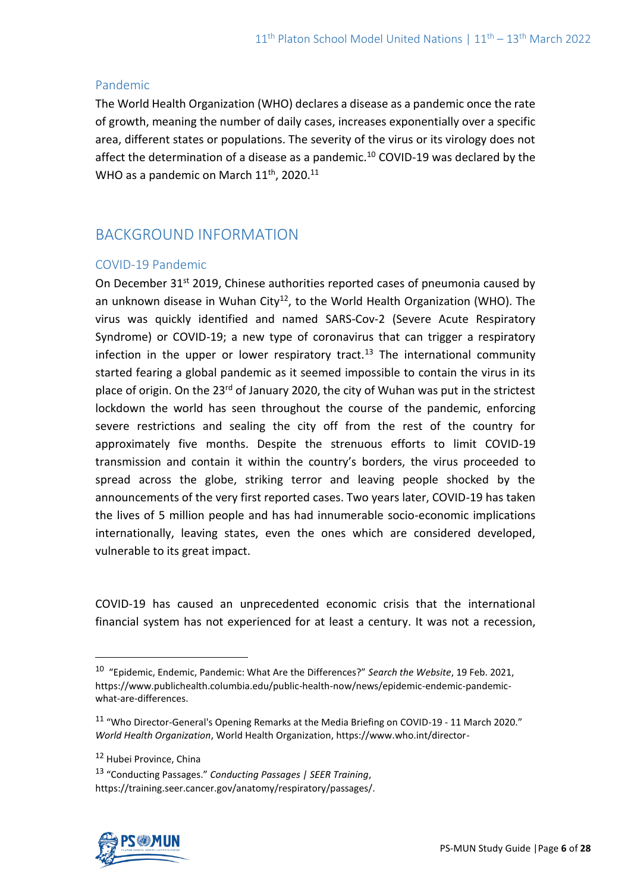### Pandemic

The World Health Organization (WHO) declares a disease as a pandemic once the rate of growth, meaning the number of daily cases, increases exponentially over a specific area, different states or populations. The severity of the virus or its virology does not affect the determination of a disease as a pandemic.<sup>10</sup> COVID-19 was declared by the WHO as a pandemic on March 11<sup>th</sup>, 2020.<sup>11</sup>

# BACKGROUND INFORMATION

# COVID-19 Pandemic

On December 31<sup>st</sup> 2019, Chinese authorities reported cases of pneumonia caused by an unknown disease in Wuhan City<sup>12</sup>, to the World Health Organization (WHO). The virus was quickly identified and named SARS-Cov-2 (Severe Acute Respiratory Syndrome) or COVID-19; a new type of coronavirus that can trigger a respiratory infection in the upper or lower respiratory tract.<sup>13</sup> The international community started fearing a global pandemic as it seemed impossible to contain the virus in its place of origin. On the 23<sup>rd</sup> of January 2020, the city of Wuhan was put in the strictest lockdown the world has seen throughout the course of the pandemic, enforcing severe restrictions and sealing the city off from the rest of the country for approximately five months. Despite the strenuous efforts to limit COVID-19 transmission and contain it within the country's borders, the virus proceeded to spread across the globe, striking terror and leaving people shocked by the announcements of the very first reported cases. Two years later, COVID-19 has taken the lives of 5 million people and has had innumerable socio-economic implications internationally, leaving states, even the ones which are considered developed, vulnerable to its great impact.

COVID-19 has caused an unprecedented economic crisis that the international financial system has not experienced for at least a century. It was not a recession,

<sup>13</sup> "Conducting Passages." *Conducting Passages | SEER Training*, https://training.seer.cancer.gov/anatomy/respiratory/passages/.



<sup>10</sup> "Epidemic, Endemic, Pandemic: What Are the Differences?" *Search the Website*, 19 Feb. 2021, https://www.publichealth.columbia.edu/public-health-now/news/epidemic-endemic-pandemicwhat-are-differences.

<sup>11</sup> "Who Director-General's Opening Remarks at the Media Briefing on COVID-19 - 11 March 2020." *World Health Organization*, World Health Organization, https://www.who.int/director-

<sup>12</sup> Hubei Province, China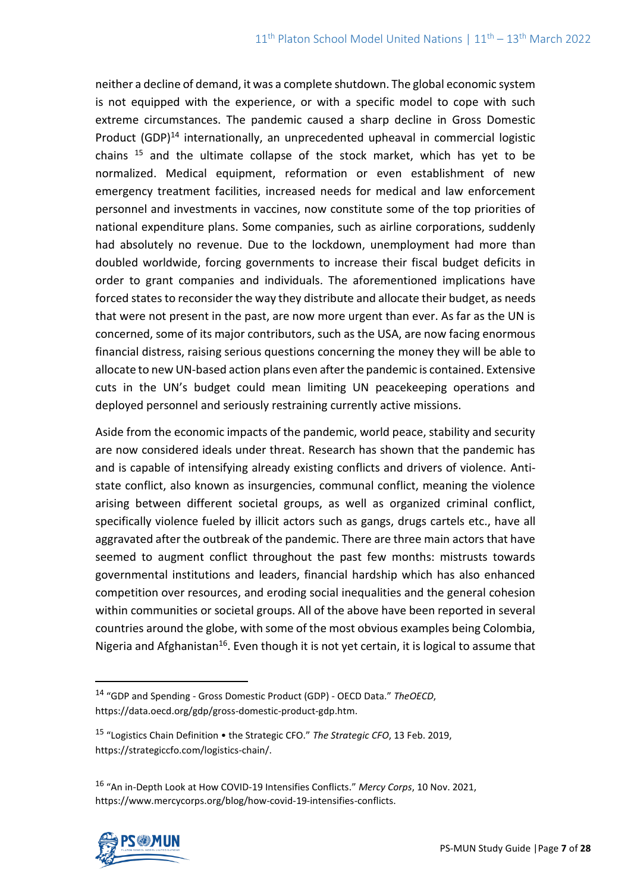neither a decline of demand, it was a complete shutdown. The global economic system is not equipped with the experience, or with a specific model to cope with such extreme circumstances. The pandemic caused a sharp decline in Gross Domestic Product (GDP)<sup>14</sup> internationally, an unprecedented upheaval in commercial logistic chains <sup>15</sup> and the ultimate collapse of the stock market, which has yet to be normalized. Medical equipment, reformation or even establishment of new emergency treatment facilities, increased needs for medical and law enforcement personnel and investments in vaccines, now constitute some of the top priorities of national expenditure plans. Some companies, such as airline corporations, suddenly had absolutely no revenue. Due to the lockdown, unemployment had more than doubled worldwide, forcing governments to increase their fiscal budget deficits in order to grant companies and individuals. The aforementioned implications have forced states to reconsider the way they distribute and allocate their budget, as needs that were not present in the past, are now more urgent than ever. As far as the UN is concerned, some of its major contributors, such as the USA, are now facing enormous financial distress, raising serious questions concerning the money they will be able to allocate to new UN-based action plans even after the pandemic is contained. Extensive cuts in the UN's budget could mean limiting UN peacekeeping operations and deployed personnel and seriously restraining currently active missions.

Aside from the economic impacts of the pandemic, world peace, stability and security are now considered ideals under threat. Research has shown that the pandemic has and is capable of intensifying already existing conflicts and drivers of violence. Antistate conflict, also known as insurgencies, communal conflict, meaning the violence arising between different societal groups, as well as organized criminal conflict, specifically violence fueled by illicit actors such as gangs, drugs cartels etc., have all aggravated after the outbreak of the pandemic. There are three main actors that have seemed to augment conflict throughout the past few months: mistrusts towards governmental institutions and leaders, financial hardship which has also enhanced competition over resources, and eroding social inequalities and the general cohesion within communities or societal groups. All of the above have been reported in several countries around the globe, with some of the most obvious examples being Colombia, Nigeria and Afghanistan<sup>16</sup>. Even though it is not yet certain, it is logical to assume that

<sup>16</sup> "An in-Depth Look at How COVID-19 Intensifies Conflicts." *Mercy Corps*, 10 Nov. 2021, https://www.mercycorps.org/blog/how-covid-19-intensifies-conflicts.



<sup>14</sup> "GDP and Spending - Gross Domestic Product (GDP) - OECD Data." *TheOECD*, https://data.oecd.org/gdp/gross-domestic-product-gdp.htm.

<sup>15</sup> "Logistics Chain Definition • the Strategic CFO." *The Strategic CFO*, 13 Feb. 2019, https://strategiccfo.com/logistics-chain/.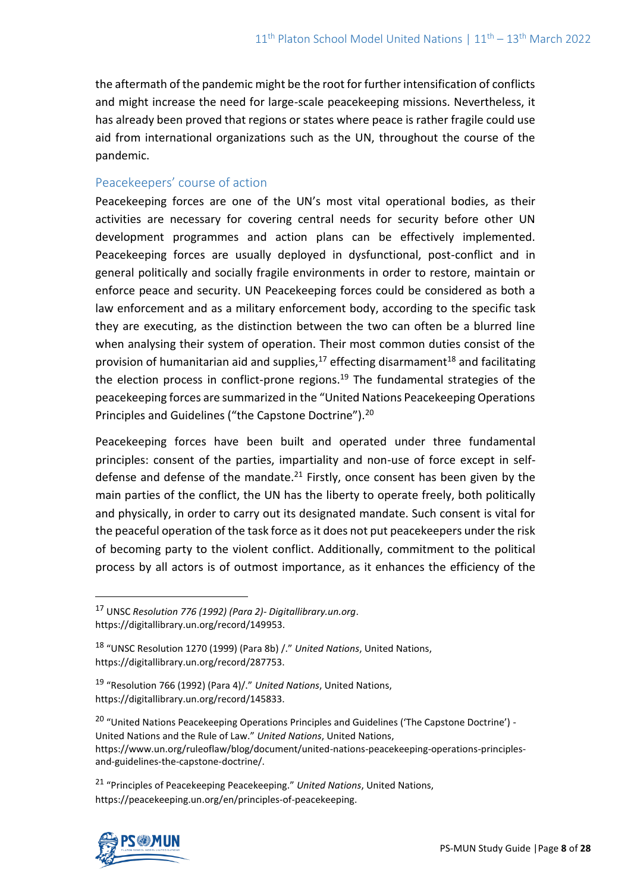the aftermath of the pandemic might be the root for further intensification of conflicts and might increase the need for large-scale peacekeeping missions. Nevertheless, it has already been proved that regions or states where peace is rather fragile could use aid from international organizations such as the UN, throughout the course of the pandemic.

### Peacekeepers' course of action

Peacekeeping forces are one of the UN's most vital operational bodies, as their activities are necessary for covering central needs for security before other UN development programmes and action plans can be effectively implemented. Peacekeeping forces are usually deployed in dysfunctional, post-conflict and in general politically and socially fragile environments in order to restore, maintain or enforce peace and security. UN Peacekeeping forces could be considered as both a law enforcement and as a military enforcement body, according to the specific task they are executing, as the distinction between the two can often be a blurred line when analysing their system of operation. Their most common duties consist of the provision of humanitarian aid and supplies, $17$  effecting disarmament $18$  and facilitating the election process in conflict-prone regions.<sup>19</sup> The fundamental strategies of the peacekeeping forces are summarized in the "United Nations Peacekeeping Operations Principles and Guidelines ("the Capstone Doctrine").<sup>20</sup>

Peacekeeping forces have been built and operated under three fundamental principles: consent of the parties, impartiality and non-use of force except in selfdefense and defense of the mandate.<sup>21</sup> Firstly, once consent has been given by the main parties of the conflict, the UN has the liberty to operate freely, both politically and physically, in order to carry out its designated mandate. Such consent is vital for the peaceful operation of the task force as it does not put peacekeepers under the risk of becoming party to the violent conflict. Additionally, commitment to the political process by all actors is of outmost importance, as it enhances the efficiency of the

<sup>20</sup> "United Nations Peacekeeping Operations Principles and Guidelines ('The Capstone Doctrine') -United Nations and the Rule of Law." *United Nations*, United Nations, https://www.un.org/ruleoflaw/blog/document/united-nations-peacekeeping-operations-principlesand-guidelines-the-capstone-doctrine/.

<sup>21</sup> "Principles of Peacekeeping Peacekeeping." *United Nations*, United Nations, https://peacekeeping.un.org/en/principles-of-peacekeeping.



<sup>17</sup> UNSC *Resolution 776 (1992) (Para 2)- Digitallibrary.un.org*. https://digitallibrary.un.org/record/149953.

<sup>18</sup> "UNSC Resolution 1270 (1999) (Para 8b) /." *United Nations*, United Nations, https://digitallibrary.un.org/record/287753.

<sup>19</sup> "Resolution 766 (1992) (Para 4)/." *United Nations*, United Nations, https://digitallibrary.un.org/record/145833.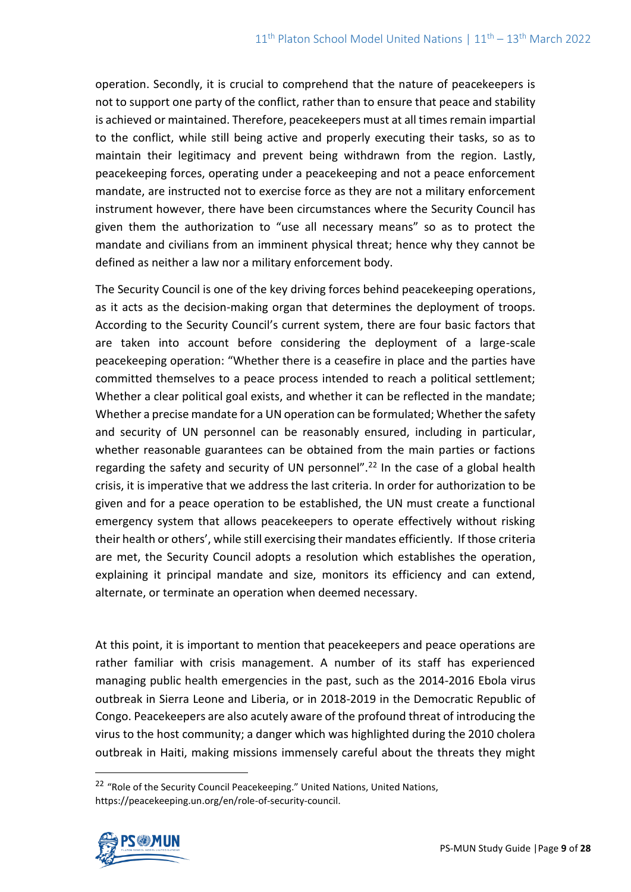operation. Secondly, it is crucial to comprehend that the nature of peacekeepers is not to support one party of the conflict, rather than to ensure that peace and stability is achieved or maintained. Therefore, peacekeepers must at all times remain impartial to the conflict, while still being active and properly executing their tasks, so as to maintain their legitimacy and prevent being withdrawn from the region. Lastly, peacekeeping forces, operating under a peacekeeping and not a peace enforcement mandate, are instructed not to exercise force as they are not a military enforcement instrument however, there have been circumstances where the Security Council has given them the authorization to "use all necessary means" so as to protect the mandate and civilians from an imminent physical threat; hence why they cannot be defined as neither a law nor a military enforcement body.

The Security Council is one of the key driving forces behind peacekeeping operations, as it acts as the decision-making organ that determines the deployment of troops. According to the Security Council's current system, there are four basic factors that are taken into account before considering the deployment of a large-scale peacekeeping operation: "Whether there is a ceasefire in place and the parties have committed themselves to a peace process intended to reach a political settlement; Whether a clear political goal exists, and whether it can be reflected in the mandate; Whether a precise mandate for a UN operation can be formulated; Whether the safety and security of UN personnel can be reasonably ensured, including in particular, whether reasonable guarantees can be obtained from the main parties or factions regarding the safety and security of UN personnel".<sup>22</sup> In the case of a global health crisis, it is imperative that we address the last criteria. In order for authorization to be given and for a peace operation to be established, the UN must create a functional emergency system that allows peacekeepers to operate effectively without risking their health or others', while still exercising their mandates efficiently. If those criteria are met, the Security Council adopts a resolution which establishes the operation, explaining it principal mandate and size, monitors its efficiency and can extend, alternate, or terminate an operation when deemed necessary.

At this point, it is important to mention that peacekeepers and peace operations are rather familiar with crisis management. A number of its staff has experienced managing public health emergencies in the past, such as the 2014-2016 Ebola virus outbreak in Sierra Leone and Liberia, or in 2018-2019 in the Democratic Republic of Congo. Peacekeepers are also acutely aware of the profound threat of introducing the virus to the host community; a danger which was highlighted during the 2010 cholera outbreak in Haiti, making missions immensely careful about the threats they might

<sup>&</sup>lt;sup>22</sup> "Role of the Security Council Peacekeeping." United Nations, United Nations, https://peacekeeping.un.org/en/role-of-security-council.

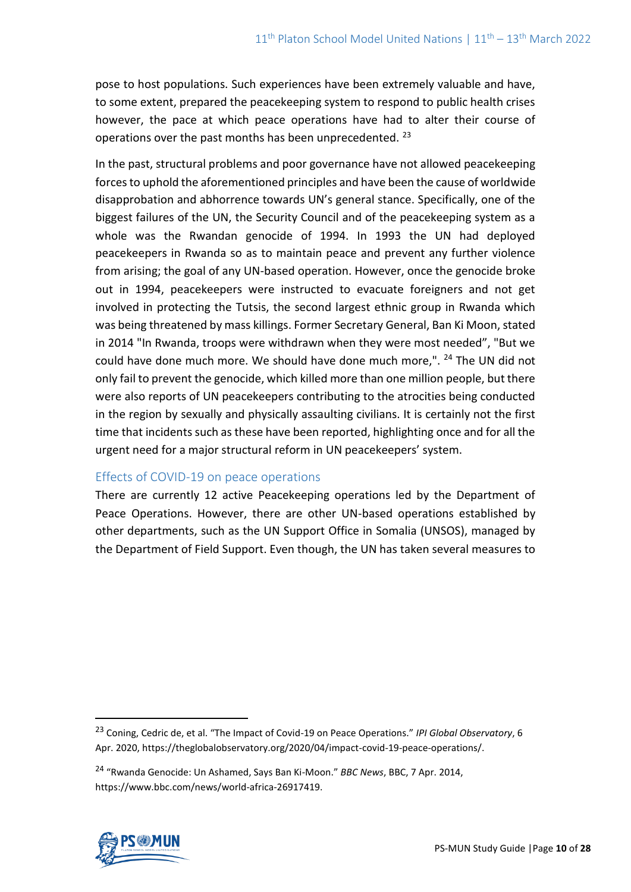pose to host populations. Such experiences have been extremely valuable and have, to some extent, prepared the peacekeeping system to respond to public health crises however, the pace at which peace operations have had to alter their course of operations over the past months has been unprecedented. <sup>23</sup>

In the past, structural problems and poor governance have not allowed peacekeeping forces to uphold the aforementioned principles and have been the cause of worldwide disapprobation and abhorrence towards UN's general stance. Specifically, one of the biggest failures of the UN, the Security Council and of the peacekeeping system as a whole was the Rwandan genocide of 1994. In 1993 the UN had deployed peacekeepers in Rwanda so as to maintain peace and prevent any further violence from arising; the goal of any UN-based operation. However, once the genocide broke out in 1994, peacekeepers were instructed to evacuate foreigners and not get involved in protecting the Tutsis, the second largest ethnic group in Rwanda which was being threatened by mass killings. Former Secretary General, Ban Ki Moon, stated in 2014 "In Rwanda, troops were withdrawn when they were most needed", "But we could have done much more. We should have done much more,". <sup>24</sup> The UN did not only fail to prevent the genocide, which killed more than one million people, but there were also reports of UN peacekeepers contributing to the atrocities being conducted in the region by sexually and physically assaulting civilians. It is certainly not the first time that incidents such as these have been reported, highlighting once and for all the urgent need for a major structural reform in UN peacekeepers' system.

# Effects of COVID-19 on peace operations

There are currently 12 active Peacekeeping operations led by the Department of Peace Operations. However, there are other UN-based operations established by other departments, such as the UN Support Office in Somalia (UNSOS), managed by the Department of Field Support. Even though, the UN has taken several measures to

<sup>24</sup> "Rwanda Genocide: Un Ashamed, Says Ban Ki-Moon." *BBC News*, BBC, 7 Apr. 2014, https://www.bbc.com/news/world-africa-26917419.



<sup>23</sup> Coning, Cedric de, et al. "The Impact of Covid-19 on Peace Operations." *IPI Global Observatory*, 6 Apr. 2020, https://theglobalobservatory.org/2020/04/impact-covid-19-peace-operations/.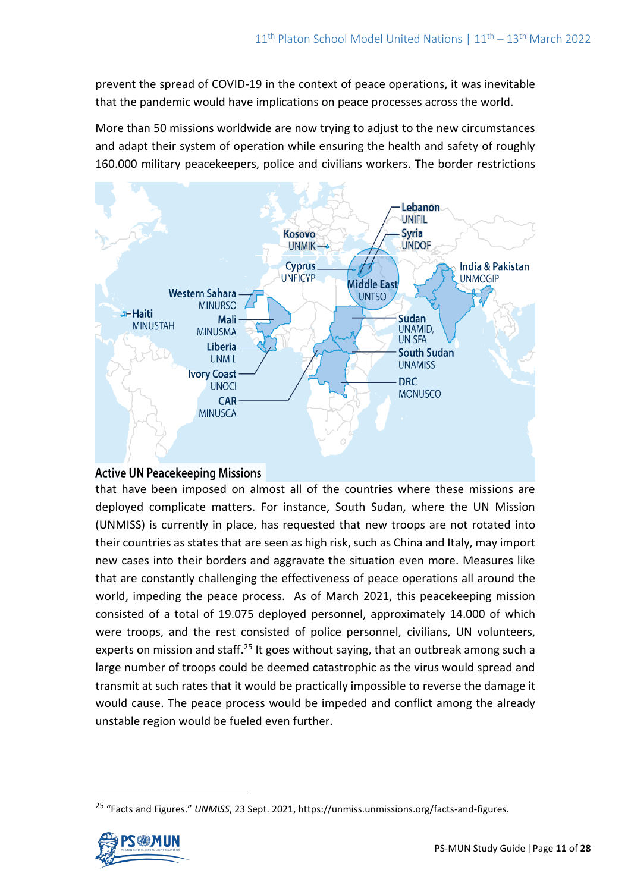prevent the spread of COVID-19 in the context of peace operations, it was inevitable that the pandemic would have implications on peace processes across the world.

More than 50 missions worldwide are now trying to adjust to the new circumstances and adapt their system of operation while ensuring the health and safety of roughly 160.000 military peacekeepers, police and civilians workers. The border restrictions



# **Active UN Peacekeeping Missions**

that have been imposed on almost all of the countries where these missions are deployed complicate matters. For instance, South Sudan, where the UN Mission (UNMISS) is currently in place, has requested that new troops are not rotated into their countries as states that are seen as high risk, such as China and Italy, may import new cases into their borders and aggravate the situation even more. Measures like that are constantly challenging the effectiveness of peace operations all around the world, impeding the peace process. As of March 2021, this peacekeeping mission consisted of a total of 19.075 deployed personnel, approximately 14.000 of which were troops, and the rest consisted of police personnel, civilians, UN volunteers, experts on mission and staff.<sup>25</sup> It goes without saying, that an outbreak among such a large number of troops could be deemed catastrophic as the virus would spread and transmit at such rates that it would be practically impossible to reverse the damage it would cause. The peace process would be impeded and conflict among the already unstable region would be fueled even further.

<sup>25</sup> "Facts and Figures." *UNMISS*, 23 Sept. 2021, https://unmiss.unmissions.org/facts-and-figures.

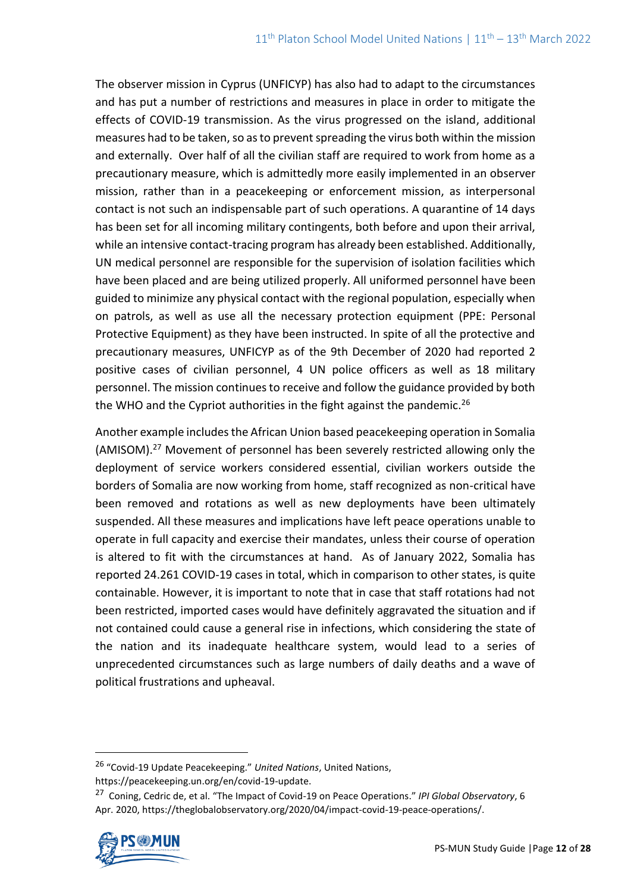The observer mission in Cyprus (UNFICYP) has also had to adapt to the circumstances and has put a number of restrictions and measures in place in order to mitigate the effects of COVID-19 transmission. As the virus progressed on the island, additional measures had to be taken, so as to prevent spreading the virus both within the mission and externally. Over half of all the civilian staff are required to work from home as a precautionary measure, which is admittedly more easily implemented in an observer mission, rather than in a peacekeeping or enforcement mission, as interpersonal contact is not such an indispensable part of such operations. A quarantine of 14 days has been set for all incoming military contingents, both before and upon their arrival, while an intensive contact-tracing program has already been established. Additionally, UN medical personnel are responsible for the supervision of isolation facilities which have been placed and are being utilized properly. All uniformed personnel have been guided to minimize any physical contact with the regional population, especially when on patrols, as well as use all the necessary protection equipment (PPE: Personal Protective Equipment) as they have been instructed. In spite of all the protective and precautionary measures, UNFICYP as of the 9th December of 2020 had reported 2 positive cases of civilian personnel, 4 UN police officers as well as 18 military personnel. The mission continues to receive and follow the guidance provided by both the WHO and the Cypriot authorities in the fight against the pandemic.<sup>26</sup>

Another example includes the African Union based peacekeeping operation in Somalia (AMISOM).<sup>27</sup> Movement of personnel has been severely restricted allowing only the deployment of service workers considered essential, civilian workers outside the borders of Somalia are now working from home, staff recognized as non-critical have been removed and rotations as well as new deployments have been ultimately suspended. All these measures and implications have left peace operations unable to operate in full capacity and exercise their mandates, unless their course of operation is altered to fit with the circumstances at hand. As of January 2022, Somalia has reported 24.261 COVID-19 cases in total, which in comparison to other states, is quite containable. However, it is important to note that in case that staff rotations had not been restricted, imported cases would have definitely aggravated the situation and if not contained could cause a general rise in infections, which considering the state of the nation and its inadequate healthcare system, would lead to a series of unprecedented circumstances such as large numbers of daily deaths and a wave of political frustrations and upheaval.

<sup>27</sup> Coning, Cedric de, et al. "The Impact of Covid-19 on Peace Operations." *IPI Global Observatory*, 6 Apr. 2020, https://theglobalobservatory.org/2020/04/impact-covid-19-peace-operations/.



<sup>26</sup> "Covid-19 Update Peacekeeping." *United Nations*, United Nations, https://peacekeeping.un.org/en/covid-19-update.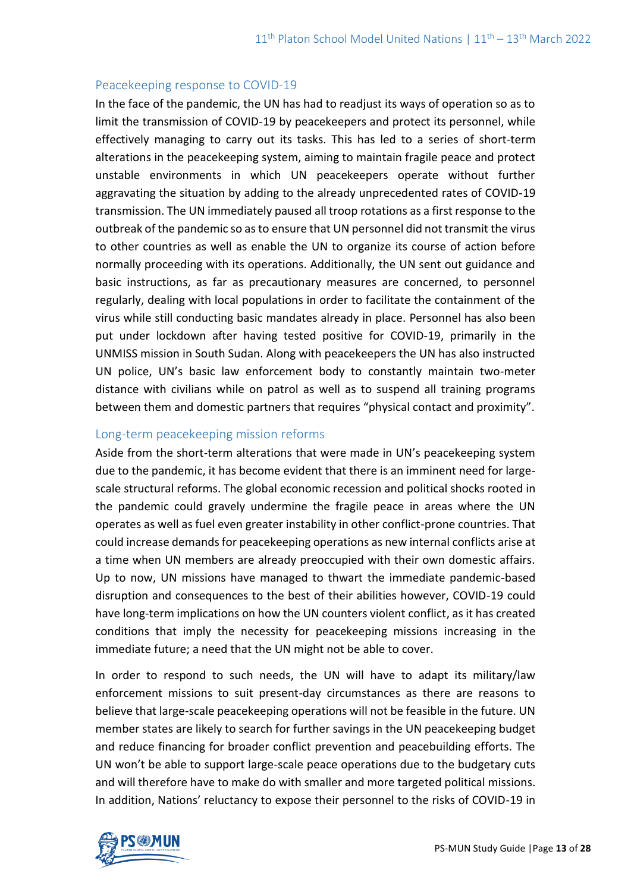#### Peacekeeping response to COVID-19

In the face of the pandemic, the UN has had to readjust its ways of operation so as to limit the transmission of COVID-19 by peacekeepers and protect its personnel, while effectively managing to carry out its tasks. This has led to a series of short-term alterations in the peacekeeping system, aiming to maintain fragile peace and protect unstable environments in which UN peacekeepers operate without further aggravating the situation by adding to the already unprecedented rates of COVID-19 transmission. The UN immediately paused all troop rotations as a first response to the outbreak of the pandemic so as to ensure that UN personnel did not transmit the virus to other countries as well as enable the UN to organize its course of action before normally proceeding with its operations. Additionally, the UN sent out guidance and basic instructions, as far as precautionary measures are concerned, to personnel regularly, dealing with local populations in order to facilitate the containment of the virus while still conducting basic mandates already in place. Personnel has also been put under lockdown after having tested positive for COVID-19, primarily in the UNMISS mission in South Sudan. Along with peacekeepers the UN has also instructed UN police, UN's basic law enforcement body to constantly maintain two-meter distance with civilians while on patrol as well as to suspend all training programs between them and domestic partners that requires "physical contact and proximity".

#### Long-term peacekeeping mission reforms

Aside from the short-term alterations that were made in UN's peacekeeping system due to the pandemic, it has become evident that there is an imminent need for largescale structural reforms. The global economic recession and political shocks rooted in the pandemic could gravely undermine the fragile peace in areas where the UN operates as well as fuel even greater instability in other conflict-prone countries. That could increase demands for peacekeeping operations as new internal conflicts arise at a time when UN members are already preoccupied with their own domestic affairs. Up to now, UN missions have managed to thwart the immediate pandemic-based disruption and consequences to the best of their abilities however, COVID-19 could have long-term implications on how the UN counters violent conflict, as it has created conditions that imply the necessity for peacekeeping missions increasing in the immediate future; a need that the UN might not be able to cover.

In order to respond to such needs, the UN will have to adapt its military/law enforcement missions to suit present-day circumstances as there are reasons to believe that large-scale peacekeeping operations will not be feasible in the future. UN member states are likely to search for further savings in the UN peacekeeping budget and reduce financing for broader conflict prevention and peacebuilding efforts. The UN won't be able to support large-scale peace operations due to the budgetary cuts and will therefore have to make do with smaller and more targeted political missions. In addition, Nations' reluctancy to expose their personnel to the risks of COVID-19 in

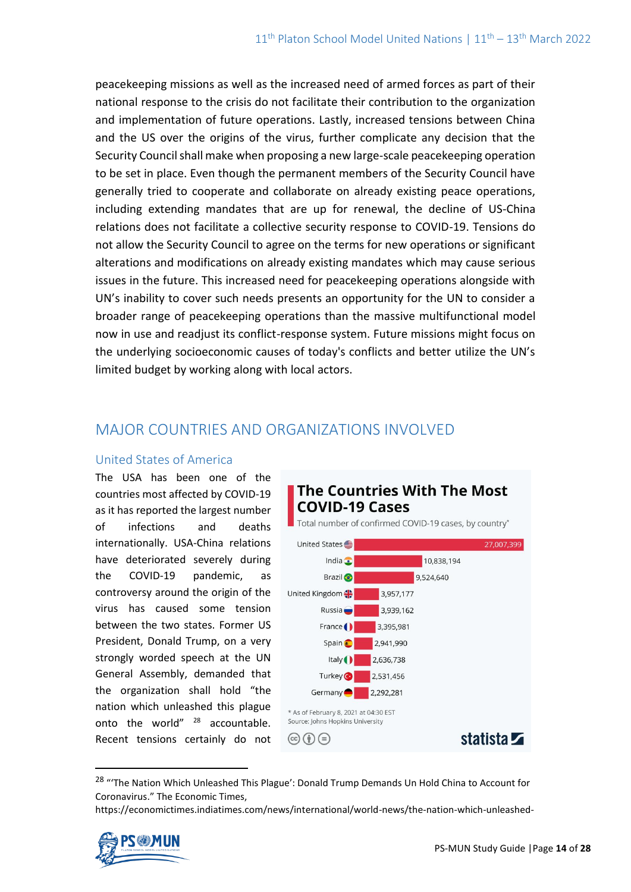peacekeeping missions as well as the increased need of armed forces as part of their national response to the crisis do not facilitate their contribution to the organization and implementation of future operations. Lastly, increased tensions between China and the US over the origins of the virus, further complicate any decision that the Security Council shall make when proposing a new large-scale peacekeeping operation to be set in place. Even though the permanent members of the Security Council have generally tried to cooperate and collaborate on already existing peace operations, including extending mandates that are up for renewal, the decline of US-China relations does not facilitate a collective security response to COVID-19. Tensions do not allow the Security Council to agree on the terms for new operations or significant alterations and modifications on already existing mandates which may cause serious issues in the future. This increased need for peacekeeping operations alongside with UN's inability to cover such needs presents an opportunity for the UN to consider a broader range of peacekeeping operations than the massive multifunctional model now in use and readjust its conflict-response system. Future missions might focus on the underlying socioeconomic causes of today's conflicts and better utilize the UN's limited budget by working along with local actors.

# MAJOR COUNTRIES AND ORGANIZATIONS INVOLVED

#### United States of America

The USA has been one of the countries most affected by COVID-19 as it has reported the largest number of infections and deaths internationally. USA-China relations have deteriorated severely during the COVID-19 pandemic, as controversy around the origin of the virus has caused some tension between the two states. Former US President, Donald Trump, on a very strongly worded speech at the UN General Assembly, demanded that the organization shall hold "the nation which unleashed this plague onto the world" <sup>28</sup> accountable. Recent tensions certainly do not



<sup>&</sup>lt;sup>28</sup> "The Nation Which Unleashed This Plague': Donald Trump Demands Un Hold China to Account for Coronavirus." The Economic Times,

https://economictimes.indiatimes.com/news/international/world-news/the-nation-which-unleashed-

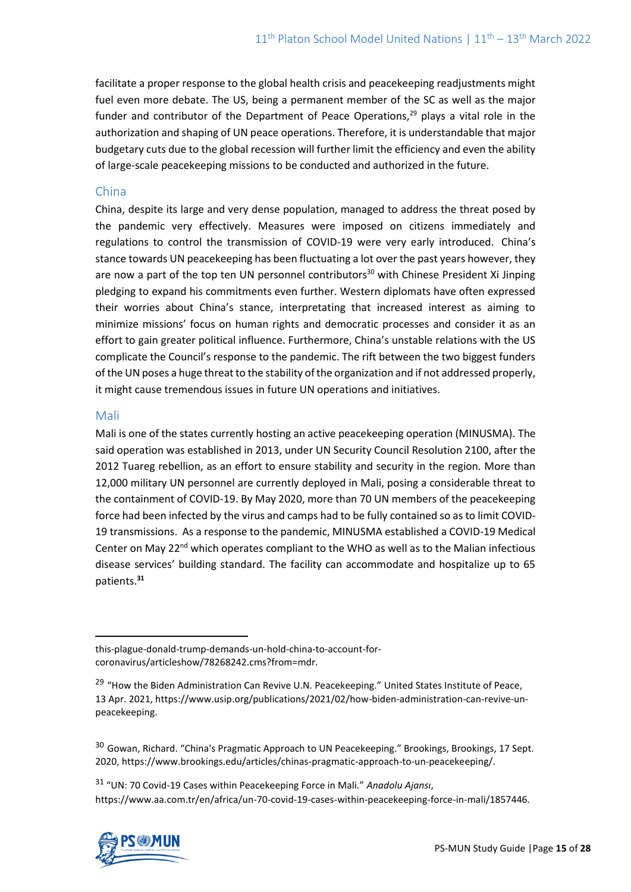facilitate a proper response to the global health crisis and peacekeeping readjustments might fuel even more debate. The US, being a permanent member of the SC as well as the major funder and contributor of the Department of Peace Operations, $29$  plays a vital role in the authorization and shaping of UN peace operations. Therefore, it is understandable that major budgetary cuts due to the global recession will further limit the efficiency and even the ability of large-scale peacekeeping missions to be conducted and authorized in the future.

#### China

China, despite its large and very dense population, managed to address the threat posed by the pandemic very effectively. Measures were imposed on citizens immediately and regulations to control the transmission of COVID-19 were very early introduced. China's stance towards UN peacekeeping has been fluctuating a lot over the past years however, they are now a part of the top ten UN personnel contributors<sup>30</sup> with Chinese President Xi Jinping pledging to expand his commitments even further. Western diplomats have often expressed their worries about China's stance, interpretating that increased interest as aiming to minimize missions' focus on human rights and democratic processes and consider it as an effort to gain greater political influence. Furthermore, China's unstable relations with the US complicate the Council's response to the pandemic. The rift between the two biggest funders of the UN poses a huge threat to the stability of the organization and if not addressed properly, it might cause tremendous issues in future UN operations and initiatives.

#### Mali

Mali is one of the states currently hosting an active peacekeeping operation (MINUSMA). The said operation was established in 2013, under UN Security Council Resolution 2100, after the 2012 Tuareg rebellion, as an effort to ensure stability and security in the region. More than 12,000 military UN personnel are currently deployed in Mali, posing a considerable threat to the containment of COVID-19. By May 2020, more than 70 UN members of the peacekeeping force had been infected by the virus and camps had to be fully contained so as to limit COVID-19 transmissions. As a response to the pandemic, MINUSMA established a COVID-19 Medical Center on May 22<sup>nd</sup> which operates compliant to the WHO as well as to the Malian infectious disease services' building standard. The facility can accommodate and hospitalize up to 65 patients.**<sup>31</sup>**

<sup>31</sup> "UN: 70 Covid-19 Cases within Peacekeeping Force in Mali." *Anadolu Ajansı*, https://www.aa.com.tr/en/africa/un-70-covid-19-cases-within-peacekeeping-force-in-mali/1857446.



this-plague-donald-trump-demands-un-hold-china-to-account-forcoronavirus/articleshow/78268242.cms?from=mdr.

<sup>&</sup>lt;sup>29</sup> "How the Biden Administration Can Revive U.N. Peacekeeping." United States Institute of Peace, 13 Apr. 2021, https://www.usip.org/publications/2021/02/how-biden-administration-can-revive-unpeacekeeping.

<sup>&</sup>lt;sup>30</sup> Gowan, Richard. "China's Pragmatic Approach to UN Peacekeeping." Brookings, Brookings, 17 Sept. 2020, https://www.brookings.edu/articles/chinas-pragmatic-approach-to-un-peacekeeping/.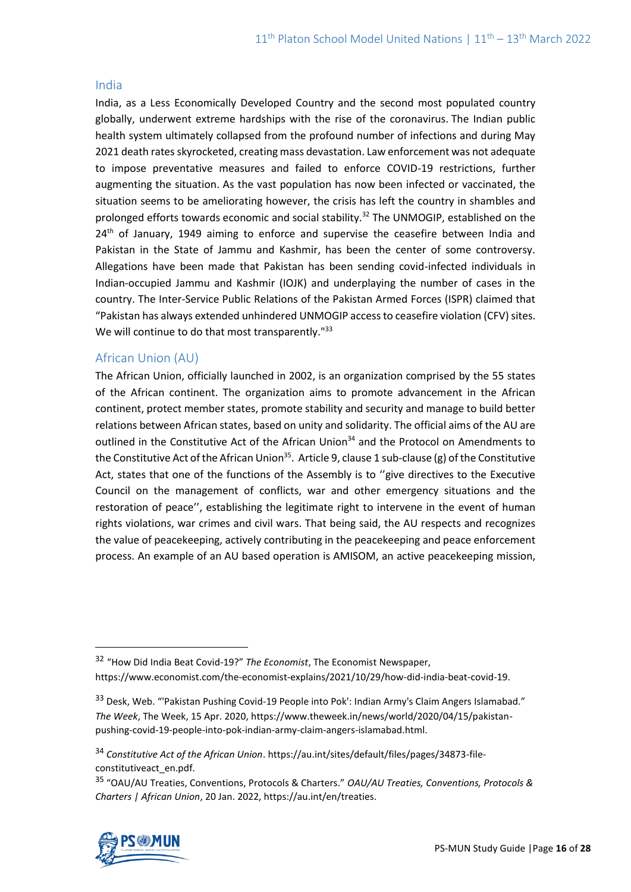#### India

India, as a Less Economically Developed Country and the second most populated country globally, underwent extreme hardships with the rise of the coronavirus. The Indian public health system ultimately collapsed from the profound number of infections and during May 2021 death rates skyrocketed, creating mass devastation. Law enforcement was not adequate to impose preventative measures and failed to enforce COVID-19 restrictions, further augmenting the situation. As the vast population has now been infected or vaccinated, the situation seems to be ameliorating however, the crisis has left the country in shambles and prolonged efforts towards economic and social stability.<sup>32</sup> The UNMOGIP, established on the 24<sup>th</sup> of January, 1949 aiming to enforce and supervise the ceasefire between India and Pakistan in the State of Jammu and Kashmir, has been the center of some controversy. Allegations have been made that Pakistan has been sending covid-infected individuals in Indian-occupied Jammu and Kashmir (IOJK) and underplaying the number of cases in the country. The Inter-Service Public Relations of the Pakistan Armed Forces (ISPR) claimed that "Pakistan has always extended unhindered UNMOGIP access to ceasefire violation (CFV) sites. We will continue to do that most transparently."<sup>33</sup>

### African Union (AU)

The African Union, officially launched in 2002, is an organization comprised by the 55 states of the African continent. The organization aims to promote advancement in the African continent, protect member states, promote stability and security and manage to build better relations between African states, based on unity and solidarity. The official aims of the AU are outlined in the Constitutive Act of the African Union<sup>34</sup> and the Protocol on Amendments to the Constitutive Act of the African Union<sup>35</sup>. Article 9, clause 1 sub-clause (g) of the Constitutive Act, states that one of the functions of the Assembly is to ''give directives to the Executive Council on the management of conflicts, war and other emergency situations and the restoration of peace'', establishing the legitimate right to intervene in the event of human rights violations, war crimes and civil wars. That being said, the AU respects and recognizes the value of peacekeeping, actively contributing in the peacekeeping and peace enforcement process. An example of an AU based operation is AMISOM, an active peacekeeping mission,

<sup>35</sup> "OAU/AU Treaties, Conventions, Protocols & Charters." *OAU/AU Treaties, Conventions, Protocols & Charters | African Union*, 20 Jan. 2022, https://au.int/en/treaties.



<sup>32</sup> "How Did India Beat Covid-19?" *The Economist*, The Economist Newspaper, https://www.economist.com/the-economist-explains/2021/10/29/how-did-india-beat-covid-19.

<sup>33</sup> Desk, Web. "'Pakistan Pushing Covid-19 People into Pok': Indian Army's Claim Angers Islamabad." *The Week*, The Week, 15 Apr. 2020, https://www.theweek.in/news/world/2020/04/15/pakistanpushing-covid-19-people-into-pok-indian-army-claim-angers-islamabad.html.

<sup>34</sup> *Constitutive Act of the African Union*. https://au.int/sites/default/files/pages/34873-fileconstitutiveact\_en.pdf.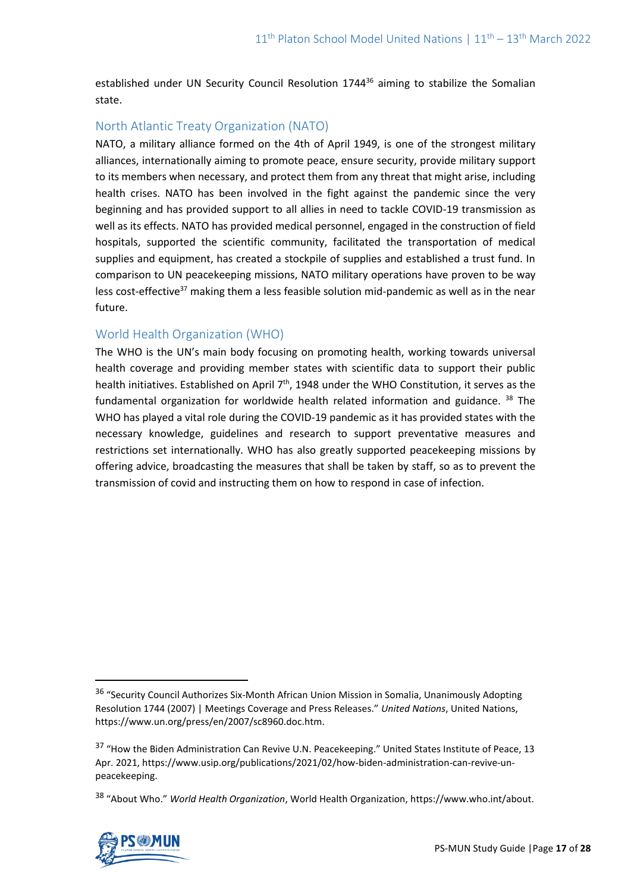established under UN Security Council Resolution 1744<sup>36</sup> aiming to stabilize the Somalian state.

### North Atlantic Treaty Organization (NATO)

NATO, a military alliance formed on the 4th of April 1949, is one of the strongest military alliances, internationally aiming to promote peace, ensure security, provide military support to its members when necessary, and protect them from any threat that might arise, including health crises. NATO has been involved in the fight against the pandemic since the very beginning and has provided support to all allies in need to tackle COVID-19 transmission as well as its effects. NATO has provided medical personnel, engaged in the construction of field hospitals, supported the scientific community, facilitated the transportation of medical supplies and equipment, has created a stockpile of supplies and established a trust fund. In comparison to UN peacekeeping missions, NATO military operations have proven to be way less cost-effective<sup>37</sup> making them a less feasible solution mid-pandemic as well as in the near future.

#### World Health Organization (WHO)

The WHO is the UN's main body focusing on promoting health, working towards universal health coverage and providing member states with scientific data to support their public health initiatives. Established on April 7<sup>th</sup>, 1948 under the WHO Constitution, it serves as the fundamental organization for worldwide health related information and guidance. <sup>38</sup> The WHO has played a vital role during the COVID-19 pandemic as it has provided states with the necessary knowledge, guidelines and research to support preventative measures and restrictions set internationally. WHO has also greatly supported peacekeeping missions by offering advice, broadcasting the measures that shall be taken by staff, so as to prevent the transmission of covid and instructing them on how to respond in case of infection.

<sup>38</sup> "About Who." *World Health Organization*, World Health Organization, https://www.who.int/about.



<sup>&</sup>lt;sup>36</sup> "Security Council Authorizes Six-Month African Union Mission in Somalia, Unanimously Adopting Resolution 1744 (2007) | Meetings Coverage and Press Releases." *United Nations*, United Nations, https://www.un.org/press/en/2007/sc8960.doc.htm.

<sup>&</sup>lt;sup>37</sup> "How the Biden Administration Can Revive U.N. Peacekeeping." United States Institute of Peace, 13 Apr. 2021, https://www.usip.org/publications/2021/02/how-biden-administration-can-revive-unpeacekeeping.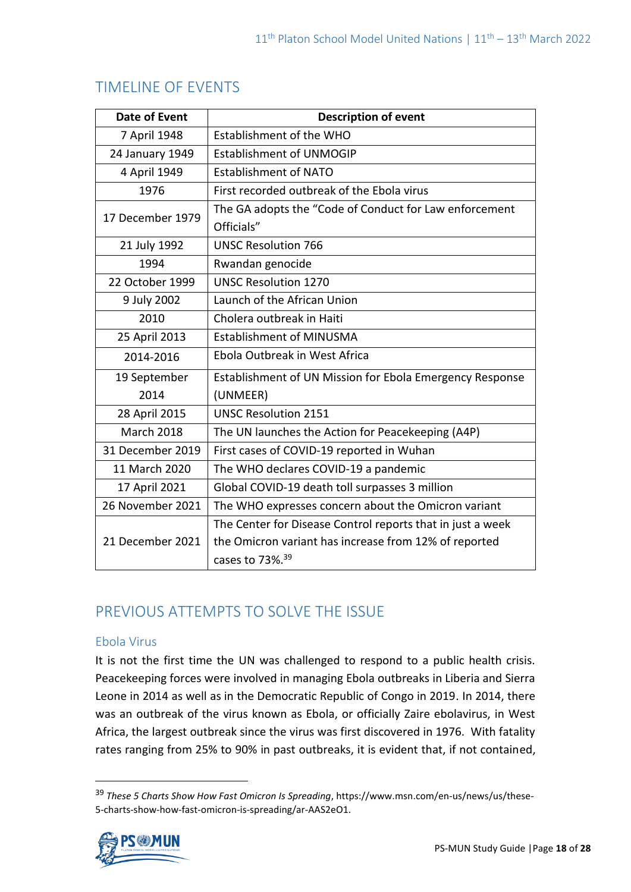| <b>Date of Event</b> | <b>Description of event</b>                                          |
|----------------------|----------------------------------------------------------------------|
| 7 April 1948         | Establishment of the WHO                                             |
| 24 January 1949      | <b>Establishment of UNMOGIP</b>                                      |
| 4 April 1949         | <b>Establishment of NATO</b>                                         |
| 1976                 | First recorded outbreak of the Ebola virus                           |
| 17 December 1979     | The GA adopts the "Code of Conduct for Law enforcement<br>Officials" |
| 21 July 1992         | <b>UNSC Resolution 766</b>                                           |
| 1994                 | Rwandan genocide                                                     |
| 22 October 1999      | <b>UNSC Resolution 1270</b>                                          |
| 9 July 2002          | Launch of the African Union                                          |
| 2010                 | Cholera outbreak in Haiti                                            |
| 25 April 2013        | <b>Establishment of MINUSMA</b>                                      |
| 2014-2016            | Ebola Outbreak in West Africa                                        |
| 19 September         | Establishment of UN Mission for Ebola Emergency Response             |
| 2014                 | (UNMEER)                                                             |
| 28 April 2015        | <b>UNSC Resolution 2151</b>                                          |
| <b>March 2018</b>    | The UN launches the Action for Peacekeeping (A4P)                    |
| 31 December 2019     | First cases of COVID-19 reported in Wuhan                            |
| 11 March 2020        | The WHO declares COVID-19 a pandemic                                 |
| 17 April 2021        | Global COVID-19 death toll surpasses 3 million                       |
| 26 November 2021     | The WHO expresses concern about the Omicron variant                  |
|                      | The Center for Disease Control reports that in just a week           |
| 21 December 2021     | the Omicron variant has increase from 12% of reported                |
|                      | cases to 73%. <sup>39</sup>                                          |

# TIMELINE OF EVENTS

# PREVIOUS ATTEMPTS TO SOLVE THE ISSUE

# Ebola Virus

It is not the first time the UN was challenged to respond to a public health crisis. Peacekeeping forces were involved in managing Ebola outbreaks in Liberia and Sierra Leone in 2014 as well as in the Democratic Republic of Congo in 2019. In 2014, there was an outbreak of the virus known as Ebola, or officially Zaire ebolavirus, in West Africa, the largest outbreak since the virus was first discovered in 1976. With fatality rates ranging from 25% to 90% in past outbreaks, it is evident that, if not contained,

<sup>39</sup> *These 5 Charts Show How Fast Omicron Is Spreading*, https://www.msn.com/en-us/news/us/these-5-charts-show-how-fast-omicron-is-spreading/ar-AAS2eO1.

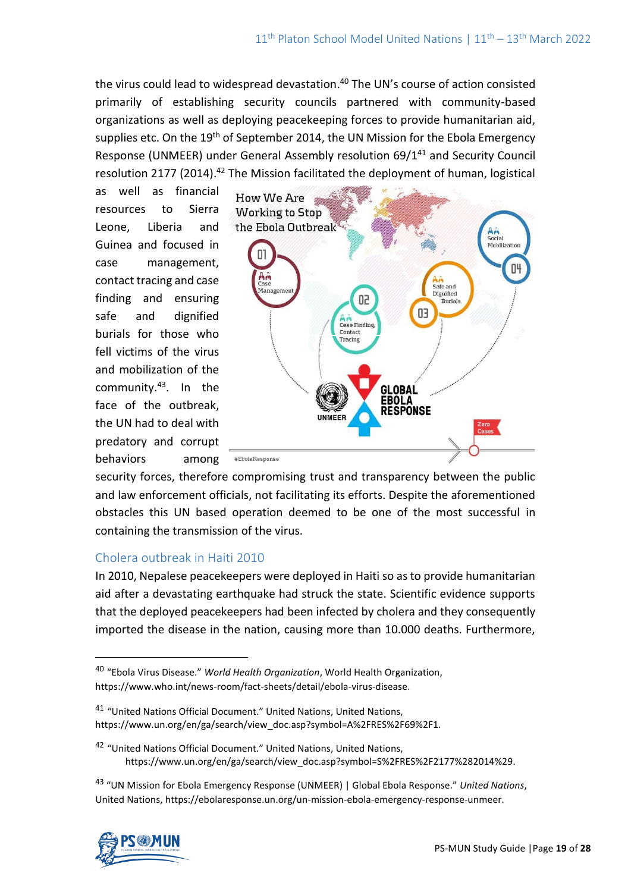the virus could lead to widespread devastation. <sup>40</sup> The UN's course of action consisted primarily of establishing security councils partnered with community-based organizations as well as deploying peacekeeping forces to provide humanitarian aid, supplies etc. On the 19<sup>th</sup> of September 2014, the UN Mission for the Ebola Emergency Response (UNMEER) under General Assembly resolution 69/1<sup>41</sup> and Security Council resolution 2177 (2014).<sup>42</sup> The Mission facilitated the deployment of human, logistical

as well as financial resources to Sierra Leone, Liberia and Guinea and focused in case management, contact tracing and case finding and ensuring safe and dignified burials for those who fell victims of the virus and mobilization of the community.<sup>43</sup> . In the face of the outbreak, the UN had to deal with predatory and corrupt behaviors among



security forces, therefore compromising trust and transparency between the public and law enforcement officials, not facilitating its efforts. Despite the aforementioned obstacles this UN based operation deemed to be one of the most successful in containing the transmission of the virus.

# Cholera outbreak in Haiti 2010

In 2010, Nepalese peacekeepers were deployed in Haiti so as to provide humanitarian aid after a devastating earthquake had struck the state. Scientific evidence supports that the deployed peacekeepers had been infected by cholera and they consequently imported the disease in the nation, causing more than 10.000 deaths. Furthermore,

<sup>41</sup> "United Nations Official Document." United Nations, United Nations, https://www.un.org/en/ga/search/view\_doc.asp?symbol=A%2FRES%2F69%2F1.

<sup>42</sup> "United Nations Official Document." United Nations, United Nations, https://www.un.org/en/ga/search/view\_doc.asp?symbol=S%2FRES%2F2177%282014%29.

<sup>43</sup> "UN Mission for Ebola Emergency Response (UNMEER) | Global Ebola Response." *United Nations*, United Nations, https://ebolaresponse.un.org/un-mission-ebola-emergency-response-unmeer.



<sup>40</sup> "Ebola Virus Disease." *World Health Organization*, World Health Organization, https://www.who.int/news-room/fact-sheets/detail/ebola-virus-disease.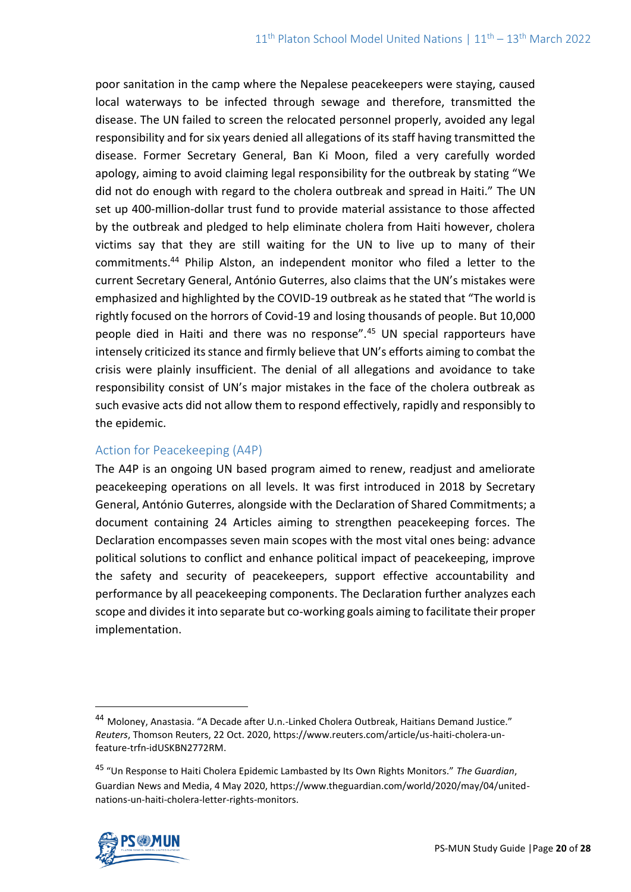poor sanitation in the camp where the Nepalese peacekeepers were staying, caused local waterways to be infected through sewage and therefore, transmitted the disease. The UN failed to screen the relocated personnel properly, avoided any legal responsibility and for six years denied all allegations of its staff having transmitted the disease. Former Secretary General, Ban Ki Moon, filed a very carefully worded apology, aiming to avoid claiming legal responsibility for the outbreak by stating "We did not do enough with regard to the cholera outbreak and spread in Haiti." The UN set up 400-million-dollar trust fund to provide material assistance to those affected by the outbreak and pledged to help eliminate cholera from Haiti however, cholera victims say that they are still waiting for the UN to live up to many of their commitments.<sup>44</sup> Philip Alston, an independent monitor who filed a letter to the current Secretary General, António Guterres, also claims that the UN's mistakes were emphasized and highlighted by the COVID-19 outbreak as he stated that "The world is rightly focused on the horrors of Covid-19 and losing thousands of people. But 10,000 people died in Haiti and there was no response".<sup>45</sup> UN special rapporteurs have intensely criticized its stance and firmly believe that UN's efforts aiming to combat the crisis were plainly insufficient. The denial of all allegations and avoidance to take responsibility consist of UN's major mistakes in the face of the cholera outbreak as such evasive acts did not allow them to respond effectively, rapidly and responsibly to the epidemic.

# Action for Peacekeeping (A4P)

The A4P is an ongoing UN based program aimed to renew, readjust and ameliorate peacekeeping operations on all levels. It was first introduced in 2018 by Secretary General, António Guterres, alongside with the [Declaration of Shared Commitments;](https://peacekeeping.un.org/sites/default/files/a4p-declaration-en.pdf) a document containing 24 Articles aiming to strengthen peacekeeping forces. The Declaration encompasses seven main scopes with the most vital ones being: advance political solutions to conflict and enhance political impact of peacekeeping, improve the safety and security of peacekeepers, support effective accountability and performance by all peacekeeping components. The Declaration further analyzes each scope and divides it into separate but co-working goals aiming to facilitate their proper implementation.

<sup>45</sup> "Un Response to Haiti Cholera Epidemic Lambasted by Its Own Rights Monitors." *The Guardian*, Guardian News and Media, 4 May 2020, https://www.theguardian.com/world/2020/may/04/unitednations-un-haiti-cholera-letter-rights-monitors.



<sup>44</sup> Moloney, Anastasia. "A Decade after U.n.-Linked Cholera Outbreak, Haitians Demand Justice." *Reuters*, Thomson Reuters, 22 Oct. 2020, https://www.reuters.com/article/us-haiti-cholera-unfeature-trfn-idUSKBN2772RM.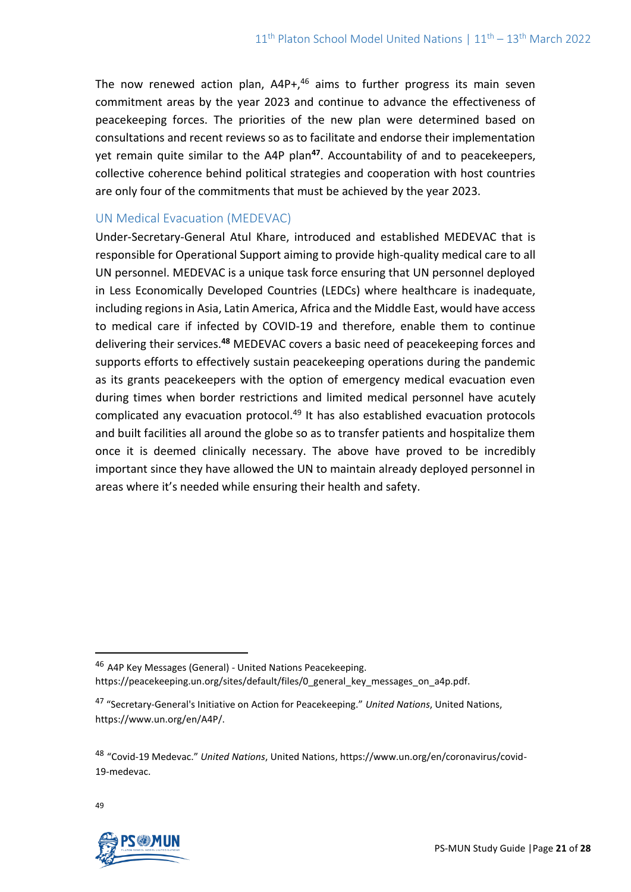The now renewed action plan,  $A4P+<sup>46</sup>$  aims to further progress its main seven commitment areas by the year 2023 and continue to advance the effectiveness of peacekeeping forces. The priorities of the new plan were determined based on consultations and recent reviews so as to facilitate and endorse their implementation yet remain quite similar to the A4P plan**<sup>47</sup>**. Accountability of and to peacekeepers, collective coherence behind political strategies and cooperation with host countries are only four of the commitments that must be achieved by the year 2023.

# UN Medical Evacuation (MEDEVAC)

Under-Secretary-General Atul Khare, introduced and established MEDEVAC that is responsible for Operational Support aiming to provide high-quality medical care to all UN personnel. MEDEVAC is a unique task force ensuring that UN personnel deployed in Less Economically Developed Countries (LEDCs) where healthcare is inadequate, including regions in Asia, Latin America, Africa and the Middle East, would have access to medical care if infected by COVID-19 and therefore, enable them to continue delivering their services.**<sup>48</sup>** MEDEVAC covers a basic need of peacekeeping forces and supports efforts to effectively sustain peacekeeping operations during the pandemic as its grants peacekeepers with the option of emergency medical evacuation even during times when border restrictions and limited medical personnel have acutely complicated any evacuation protocol.<sup>49</sup> It has also established evacuation protocols and built facilities all around the globe so as to transfer patients and hospitalize them once it is deemed clinically necessary. The above have proved to be incredibly important since they have allowed the UN to maintain already deployed personnel in areas where it's needed while ensuring their health and safety.

49



<sup>46</sup> A4P Key Messages (General) - United Nations Peacekeeping. https://peacekeeping.un.org/sites/default/files/0\_general\_key\_messages\_on\_a4p.pdf.

<sup>47</sup> "Secretary-General's Initiative on Action for Peacekeeping." *United Nations*, United Nations, https://www.un.org/en/A4P/.

<sup>48</sup> "Covid-19 Medevac." *United Nations*, United Nations, https://www.un.org/en/coronavirus/covid-19-medevac.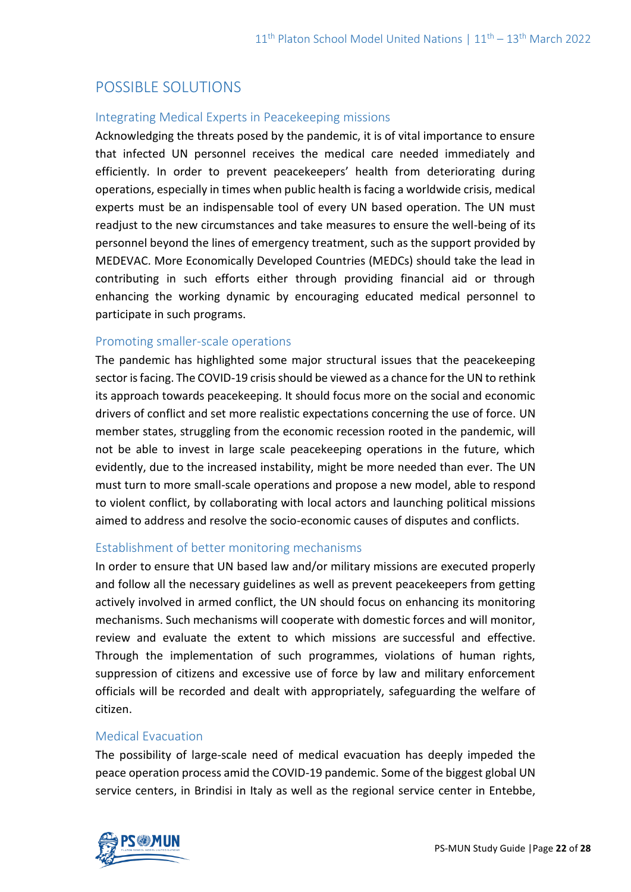# POSSIBLE SOLUTIONS

### Integrating Medical Experts in Peacekeeping missions

Acknowledging the threats posed by the pandemic, it is of vital importance to ensure that infected UN personnel receives the medical care needed immediately and efficiently. In order to prevent peacekeepers' health from deteriorating during operations, especially in times when public health is facing a worldwide crisis, medical experts must be an indispensable tool of every UN based operation. The UN must readjust to the new circumstances and take measures to ensure the well-being of its personnel beyond the lines of emergency treatment, such as the support provided by MEDEVAC. More Economically Developed Countries (MEDCs) should take the lead in contributing in such efforts either through providing financial aid or through enhancing the working dynamic by encouraging educated medical personnel to participate in such programs.

### Promoting smaller-scale operations

The pandemic has highlighted some major structural issues that the peacekeeping sector is facing. The COVID-19 crisis should be viewed as a chance for the UN to rethink its approach towards peacekeeping. It should focus more on the social and economic drivers of conflict and set more realistic expectations concerning the use of force. UN member states, struggling from the economic recession rooted in the pandemic, will not be able to invest in large scale peacekeeping operations in the future, which evidently, due to the increased instability, might be more needed than ever. The UN must turn to more small-scale operations and propose a new model, able to respond to violent conflict, by collaborating with local actors and launching political missions aimed to address and resolve the socio-economic causes of disputes and conflicts.

# Establishment of better monitoring mechanisms

In order to ensure that UN based law and/or military missions are executed properly and follow all the necessary guidelines as well as prevent peacekeepers from getting actively involved in armed conflict, the UN should focus on enhancing its monitoring mechanisms. Such mechanisms will cooperate with domestic forces and will monitor, review and evaluate the extent to which missions are successful and effective. Through the implementation of such programmes, violations of human rights, suppression of citizens and excessive use of force by law and military enforcement officials will be recorded and dealt with appropriately, safeguarding the welfare of citizen.

# Medical Evacuation

The possibility of large-scale need of medical evacuation has deeply impeded the peace operation process amid the COVID-19 pandemic. Some of the biggest global UN service centers, in Brindisi in Italy as well as the regional service center in Entebbe,

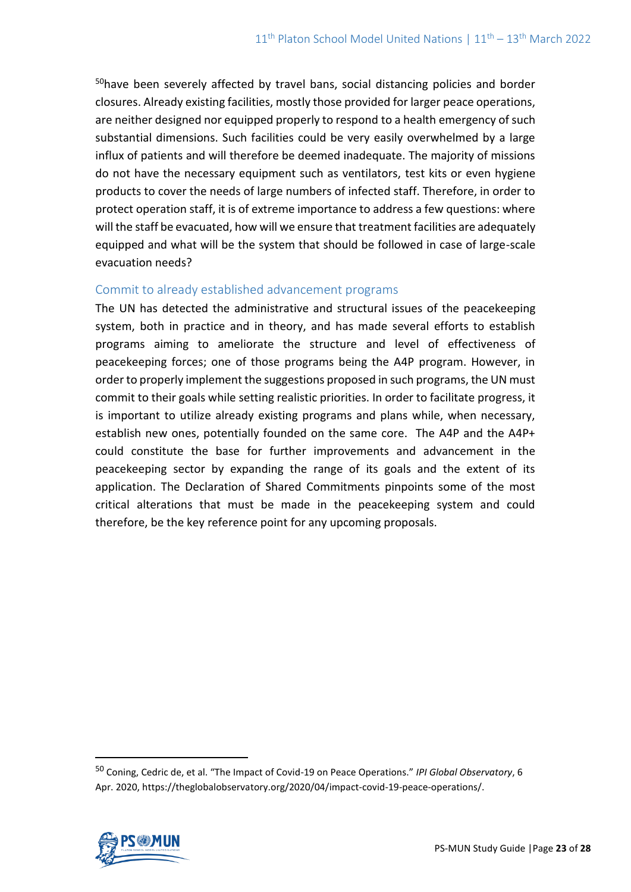<sup>50</sup>have been severely affected by travel bans, social distancing policies and border closures. Already existing facilities, mostly those provided for larger peace operations, are neither designed nor equipped properly to respond to a health emergency of such substantial dimensions. Such facilities could be very easily overwhelmed by a large influx of patients and will therefore be deemed inadequate. The majority of missions do not have the necessary equipment such as ventilators, test kits or even hygiene products to cover the needs of large numbers of infected staff. Therefore, in order to protect operation staff, it is of extreme importance to address a few questions: where will the staff be evacuated, how will we ensure that treatment facilities are adequately equipped and what will be the system that should be followed in case of large-scale evacuation needs?

# Commit to already established advancement programs

The UN has detected the administrative and structural issues of the peacekeeping system, both in practice and in theory, and has made several efforts to establish programs aiming to ameliorate the structure and level of effectiveness of peacekeeping forces; one of those programs being the A4P program. However, in order to properly implement the suggestions proposed in such programs, the UN must commit to their goals while setting realistic priorities. In order to facilitate progress, it is important to utilize already existing programs and plans while, when necessary, establish new ones, potentially founded on the same core. The A4P and the A4P+ could constitute the base for further improvements and advancement in the peacekeeping sector by expanding the range of its goals and the extent of its application. The Declaration of Shared Commitments pinpoints some of the most critical alterations that must be made in the peacekeeping system and could therefore, be the key reference point for any upcoming proposals.

<sup>50</sup> Coning, Cedric de, et al. "The Impact of Covid-19 on Peace Operations." *IPI Global Observatory*, 6 Apr. 2020, https://theglobalobservatory.org/2020/04/impact-covid-19-peace-operations/.

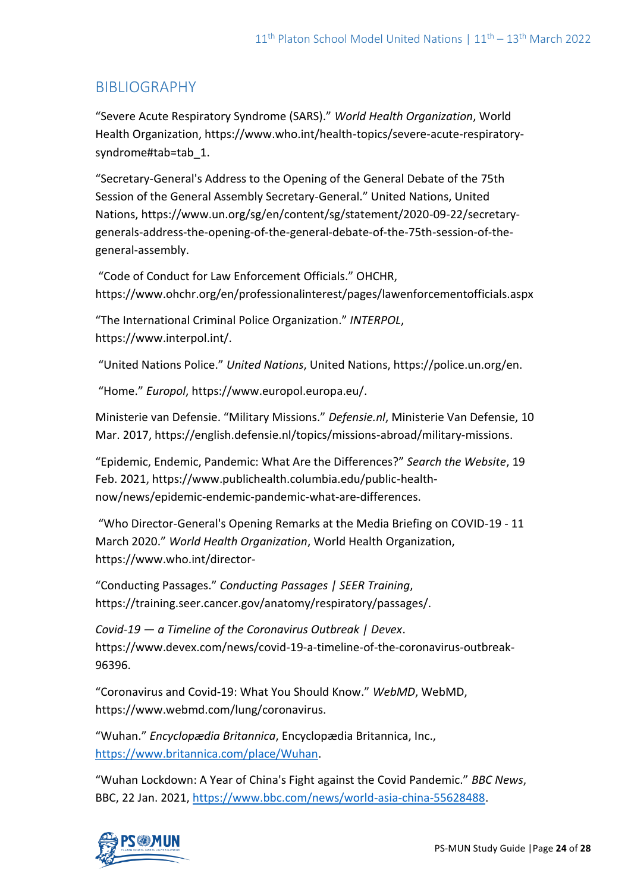# BIBLIOGRAPHY

"Severe Acute Respiratory Syndrome (SARS)." *World Health Organization*, World Health Organization, https://www.who.int/health-topics/severe-acute-respiratorysyndrome#tab=tab\_1.

"Secretary-General's Address to the Opening of the General Debate of the 75th Session of the General Assembly Secretary-General." United Nations, United Nations, https://www.un.org/sg/en/content/sg/statement/2020-09-22/secretarygenerals-address-the-opening-of-the-general-debate-of-the-75th-session-of-thegeneral-assembly.

"Code of Conduct for Law Enforcement Officials." OHCHR, https://www.ohchr.org/en/professionalinterest/pages/lawenforcementofficials.aspx

"The International Criminal Police Organization." *INTERPOL*, https://www.interpol.int/.

"United Nations Police." *United Nations*, United Nations, https://police.un.org/en.

"Home." *Europol*, https://www.europol.europa.eu/.

Ministerie van Defensie. "Military Missions." *Defensie.nl*, Ministerie Van Defensie, 10 Mar. 2017, https://english.defensie.nl/topics/missions-abroad/military-missions.

"Epidemic, Endemic, Pandemic: What Are the Differences?" *Search the Website*, 19 Feb. 2021, https://www.publichealth.columbia.edu/public-healthnow/news/epidemic-endemic-pandemic-what-are-differences.

"Who Director-General's Opening Remarks at the Media Briefing on COVID-19 - 11 March 2020." *World Health Organization*, World Health Organization, https://www.who.int/director-

"Conducting Passages." *Conducting Passages | SEER Training*, https://training.seer.cancer.gov/anatomy/respiratory/passages/.

*Covid-19 — a Timeline of the Coronavirus Outbreak | Devex*. https://www.devex.com/news/covid-19-a-timeline-of-the-coronavirus-outbreak-96396.

"Coronavirus and Covid-19: What You Should Know." *WebMD*, WebMD, https://www.webmd.com/lung/coronavirus.

"Wuhan." *Encyclopædia Britannica*, Encyclopædia Britannica, Inc., [https://www.britannica.com/place/Wuhan.](https://www.britannica.com/place/Wuhan)

"Wuhan Lockdown: A Year of China's Fight against the Covid Pandemic." *BBC News*, BBC, 22 Jan. 2021[, https://www.bbc.com/news/world-asia-china-55628488.](https://www.bbc.com/news/world-asia-china-55628488)

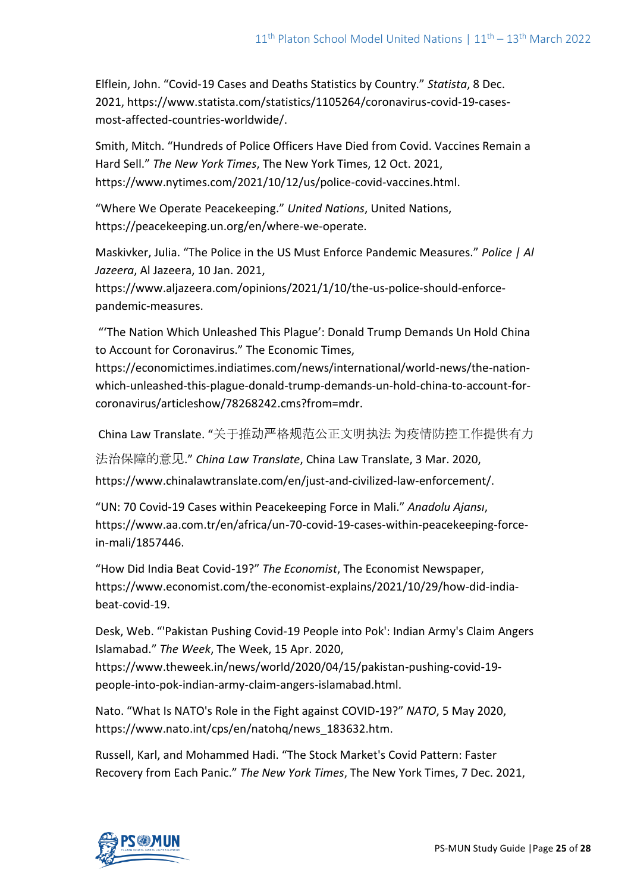Elflein, John. "Covid-19 Cases and Deaths Statistics by Country." *Statista*, 8 Dec. 2021, https://www.statista.com/statistics/1105264/coronavirus-covid-19-casesmost-affected-countries-worldwide/.

Smith, Mitch. "Hundreds of Police Officers Have Died from Covid. Vaccines Remain a Hard Sell." *The New York Times*, The New York Times, 12 Oct. 2021, https://www.nytimes.com/2021/10/12/us/police-covid-vaccines.html.

"Where We Operate Peacekeeping." *United Nations*, United Nations, https://peacekeeping.un.org/en/where-we-operate.

Maskivker, Julia. "The Police in the US Must Enforce Pandemic Measures." *Police | Al Jazeera*, Al Jazeera, 10 Jan. 2021,

https://www.aljazeera.com/opinions/2021/1/10/the-us-police-should-enforcepandemic-measures.

"'The Nation Which Unleashed This Plague': Donald Trump Demands Un Hold China to Account for Coronavirus." The Economic Times,

https://economictimes.indiatimes.com/news/international/world-news/the-nationwhich-unleashed-this-plague-donald-trump-demands-un-hold-china-to-account-forcoronavirus/articleshow/78268242.cms?from=mdr.

China Law Translate. "关于推动严格规范公正文明执法 为疫情防控工作提供有力

法治保障的意见." *China Law Translate*, China Law Translate, 3 Mar. 2020,

https://www.chinalawtranslate.com/en/just-and-civilized-law-enforcement/.

"UN: 70 Covid-19 Cases within Peacekeeping Force in Mali." *Anadolu Ajansı*, https://www.aa.com.tr/en/africa/un-70-covid-19-cases-within-peacekeeping-forcein-mali/1857446.

"How Did India Beat Covid-19?" *The Economist*, The Economist Newspaper, https://www.economist.com/the-economist-explains/2021/10/29/how-did-indiabeat-covid-19.

Desk, Web. "'Pakistan Pushing Covid-19 People into Pok': Indian Army's Claim Angers Islamabad." *The Week*, The Week, 15 Apr. 2020,

https://www.theweek.in/news/world/2020/04/15/pakistan-pushing-covid-19 people-into-pok-indian-army-claim-angers-islamabad.html.

Nato. "What Is NATO's Role in the Fight against COVID-19?" *NATO*, 5 May 2020, https://www.nato.int/cps/en/natohq/news\_183632.htm.

Russell, Karl, and Mohammed Hadi. "The Stock Market's Covid Pattern: Faster Recovery from Each Panic." *The New York Times*, The New York Times, 7 Dec. 2021,

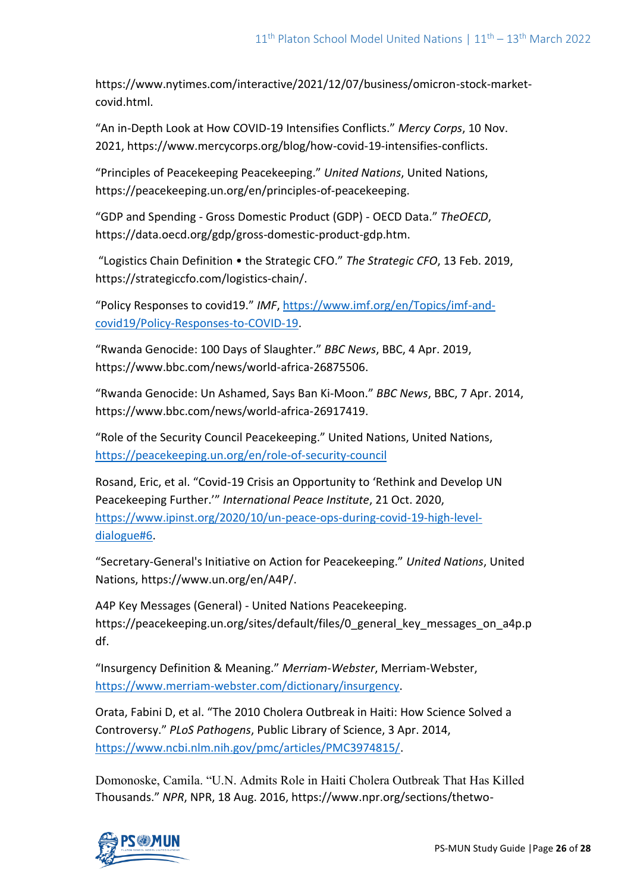https://www.nytimes.com/interactive/2021/12/07/business/omicron-stock-marketcovid.html.

"An in-Depth Look at How COVID-19 Intensifies Conflicts." *Mercy Corps*, 10 Nov. 2021, https://www.mercycorps.org/blog/how-covid-19-intensifies-conflicts.

"Principles of Peacekeeping Peacekeeping." *United Nations*, United Nations, https://peacekeeping.un.org/en/principles-of-peacekeeping.

"GDP and Spending - Gross Domestic Product (GDP) - OECD Data." *TheOECD*, https://data.oecd.org/gdp/gross-domestic-product-gdp.htm.

"Logistics Chain Definition • the Strategic CFO." *The Strategic CFO*, 13 Feb. 2019, https://strategiccfo.com/logistics-chain/.

"Policy Responses to covid19." *IMF*, [https://www.imf.org/en/Topics/imf-and](https://www.imf.org/en/Topics/imf-and-covid19/Policy-Responses-to-COVID-19)[covid19/Policy-Responses-to-COVID-19.](https://www.imf.org/en/Topics/imf-and-covid19/Policy-Responses-to-COVID-19)

"Rwanda Genocide: 100 Days of Slaughter." *BBC News*, BBC, 4 Apr. 2019, https://www.bbc.com/news/world-africa-26875506.

"Rwanda Genocide: Un Ashamed, Says Ban Ki-Moon." *BBC News*, BBC, 7 Apr. 2014, https://www.bbc.com/news/world-africa-26917419.

"Role of the Security Council Peacekeeping." United Nations, United Nations, <https://peacekeeping.un.org/en/role-of-security-council>

Rosand, Eric, et al. "Covid-19 Crisis an Opportunity to 'Rethink and Develop UN Peacekeeping Further.'" *International Peace Institute*, 21 Oct. 2020, [https://www.ipinst.org/2020/10/un-peace-ops-during-covid-19-high-level](https://www.ipinst.org/2020/10/un-peace-ops-during-covid-19-high-level-dialogue#6)[dialogue#6.](https://www.ipinst.org/2020/10/un-peace-ops-during-covid-19-high-level-dialogue#6)

"Secretary-General's Initiative on Action for Peacekeeping." *United Nations*, United Nations, https://www.un.org/en/A4P/.

A4P Key Messages (General) - United Nations Peacekeeping. https://peacekeeping.un.org/sites/default/files/0\_general\_key\_messages\_on\_a4p.p df.

"Insurgency Definition & Meaning." *Merriam-Webster*, Merriam-Webster, [https://www.merriam-webster.com/dictionary/insurgency.](https://www.merriam-webster.com/dictionary/insurgency)

Orata, Fabini D, et al. "The 2010 Cholera Outbreak in Haiti: How Science Solved a Controversy." *PLoS Pathogens*, Public Library of Science, 3 Apr. 2014, [https://www.ncbi.nlm.nih.gov/pmc/articles/PMC3974815/.](https://www.ncbi.nlm.nih.gov/pmc/articles/PMC3974815/)

Domonoske, Camila. "U.N. Admits Role in Haiti Cholera Outbreak That Has Killed Thousands." *NPR*, NPR, 18 Aug. 2016, https://www.npr.org/sections/thetwo-

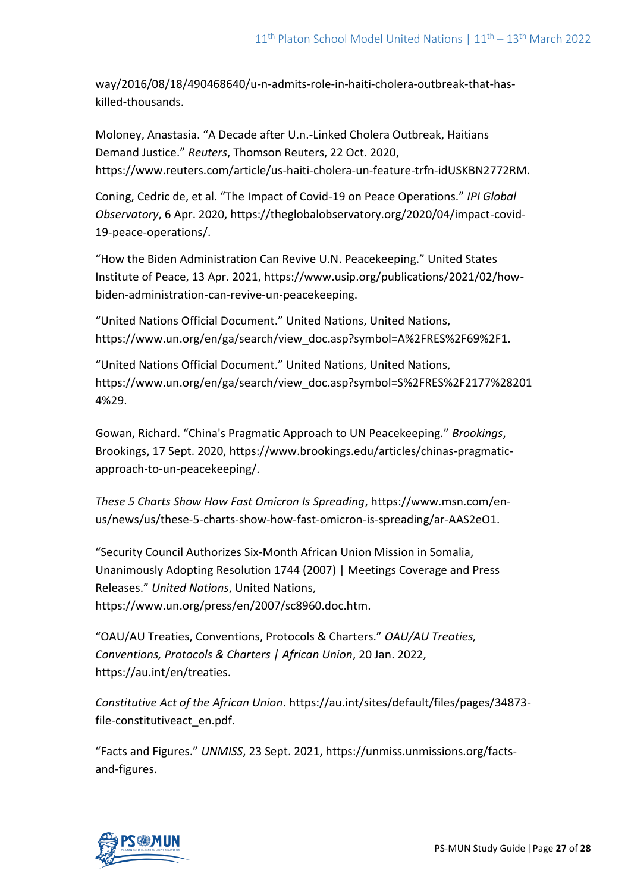way/2016/08/18/490468640/u-n-admits-role-in-haiti-cholera-outbreak-that-haskilled-thousands.

Moloney, Anastasia. "A Decade after U.n.-Linked Cholera Outbreak, Haitians Demand Justice." *Reuters*, Thomson Reuters, 22 Oct. 2020, https://www.reuters.com/article/us-haiti-cholera-un-feature-trfn-idUSKBN2772RM.

Coning, Cedric de, et al. "The Impact of Covid-19 on Peace Operations." *IPI Global Observatory*, 6 Apr. 2020, https://theglobalobservatory.org/2020/04/impact-covid-19-peace-operations/.

"How the Biden Administration Can Revive U.N. Peacekeeping." United States Institute of Peace, 13 Apr. 2021, https://www.usip.org/publications/2021/02/howbiden-administration-can-revive-un-peacekeeping.

"United Nations Official Document." United Nations, United Nations, https://www.un.org/en/ga/search/view\_doc.asp?symbol=A%2FRES%2F69%2F1.

"United Nations Official Document." United Nations, United Nations, https://www.un.org/en/ga/search/view\_doc.asp?symbol=S%2FRES%2F2177%28201 4%29.

Gowan, Richard. "China's Pragmatic Approach to UN Peacekeeping." *Brookings*, Brookings, 17 Sept. 2020, https://www.brookings.edu/articles/chinas-pragmaticapproach-to-un-peacekeeping/.

*These 5 Charts Show How Fast Omicron Is Spreading*, https://www.msn.com/enus/news/us/these-5-charts-show-how-fast-omicron-is-spreading/ar-AAS2eO1.

"Security Council Authorizes Six-Month African Union Mission in Somalia, Unanimously Adopting Resolution 1744 (2007) | Meetings Coverage and Press Releases." *United Nations*, United Nations, https://www.un.org/press/en/2007/sc8960.doc.htm.

"OAU/AU Treaties, Conventions, Protocols & Charters." *OAU/AU Treaties, Conventions, Protocols & Charters | African Union*, 20 Jan. 2022, https://au.int/en/treaties.

*Constitutive Act of the African Union*. https://au.int/sites/default/files/pages/34873 file-constitutiveact\_en.pdf.

"Facts and Figures." *UNMISS*, 23 Sept. 2021, https://unmiss.unmissions.org/factsand-figures.